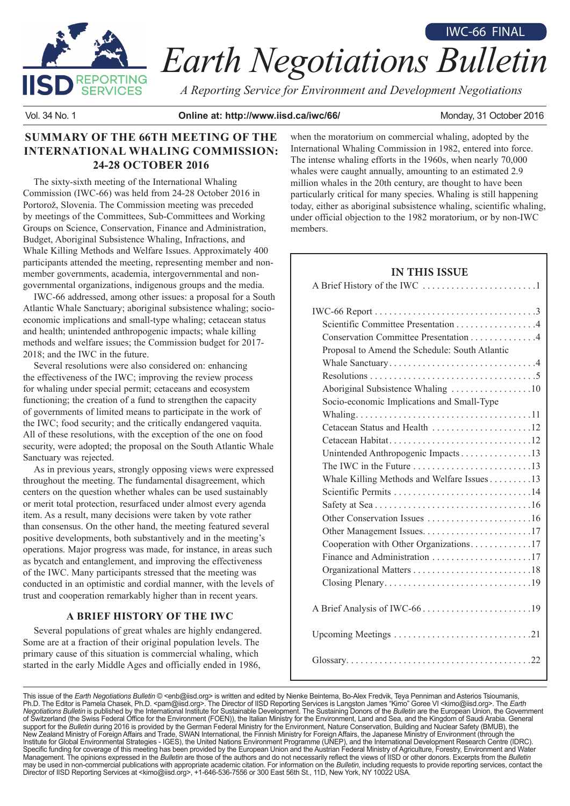

# *Earth Negotiations Bulletin* IWC-66 FINAL

*A Reporting Service for Environment and Development Negotiations*

Vol. 34 No. 1 **Online at: http://www.iisd.ca/iwc/66/** Monday, 31 October 2016

# **SUMMARY OF THE 66TH MEETING OF THE INTERNATIONAL WHALING COMMISSION: 24-28 OCTOBER 2016**

The sixty-sixth meeting of the International Whaling Commission (IWC-66) was held from 24-28 October 2016 in Portorož, Slovenia. The Commission meeting was preceded by meetings of the Committees, Sub-Committees and Working Groups on Science, Conservation, Finance and Administration, Budget, Aboriginal Subsistence Whaling, Infractions, and Whale Killing Methods and Welfare Issues. Approximately 400 participants attended the meeting, representing member and nonmember governments, academia, intergovernmental and nongovernmental organizations, indigenous groups and the media.

IWC-66 addressed, among other issues: a proposal for a South Atlantic Whale Sanctuary; aboriginal subsistence whaling; socioeconomic implications and small-type whaling; cetacean status and health; unintended anthropogenic impacts; whale killing methods and welfare issues; the Commission budget for 2017- 2018; and the IWC in the future.

Several resolutions were also considered on: enhancing the effectiveness of the IWC; improving the review process for whaling under special permit; cetaceans and ecosystem functioning; the creation of a fund to strengthen the capacity of governments of limited means to participate in the work of the IWC; food security; and the critically endangered vaquita. All of these resolutions, with the exception of the one on food security, were adopted; the proposal on the South Atlantic Whale Sanctuary was rejected.

As in previous years, strongly opposing views were expressed throughout the meeting. The fundamental disagreement, which centers on the question whether whales can be used sustainably or merit total protection, resurfaced under almost every agenda item. As a result, many decisions were taken by vote rather than consensus. On the other hand, the meeting featured several positive developments, both substantively and in the meeting's operations. Major progress was made, for instance, in areas such as bycatch and entanglement, and improving the effectiveness of the IWC. Many participants stressed that the meeting was conducted in an optimistic and cordial manner, with the levels of trust and cooperation remarkably higher than in recent years.

# **A BRIEF HISTORY OF THE IWC**

Several populations of great whales are highly endangered. Some are at a fraction of their original population levels. The primary cause of this situation is commercial whaling, which started in the early Middle Ages and officially ended in 1986,

when the moratorium on commercial whaling, adopted by the International Whaling Commission in 1982, entered into force. The intense whaling efforts in the 1960s, when nearly 70,000 whales were caught annually, amounting to an estimated 2.9 million whales in the 20th century, are thought to have been particularly critical for many species. Whaling is still happening today, either as aboriginal subsistence whaling, scientific whaling, under official objection to the 1982 moratorium, or by non-IWC members.

# **IN THIS ISSUE**

[A Brief History of the IWC. .](#page-1-0) 1

| Scientific Committee Presentation 4            |
|------------------------------------------------|
| Conservation Committee Presentation 4          |
| Proposal to Amend the Schedule: South Atlantic |
|                                                |
|                                                |
| Aboriginal Subsistence Whaling 10              |
| Socio-economic Implications and Small-Type     |
|                                                |
| Cetacean Status and Health 12                  |
|                                                |
| Unintended Anthropogenic Impacts13             |
|                                                |
| Whale Killing Methods and Welfare Issues 13    |
| Scientific Permits 14                          |
|                                                |
| Other Conservation Issues 16                   |
|                                                |
| Cooperation with Other Organizations. 17       |
| Finance and Administration 17                  |
|                                                |
|                                                |
|                                                |
| Upcoming Meetings 21                           |
|                                                |

This issue of the *Earth Negotiations Bulletin* © <enb@iisd.org> is written and edited by Nienke Beintema, Bo-Alex Fredvik, Teya Penniman and Asterios Tsioumanis. Ph.D. The Editor is Pamela Chasek, Ph.D. <pam@iisd.org>. The Director of IISD Reporting Services is Langston James "Kimo" Goree VI <kimo@iisd.org>. The Earth *Negotiations Bulletin* is published by the International Institute for Sustainable Development. The Sustaining Donors of the *Bulletin* are the European Union, the Government<br>of Switzerland (the Swiss Federal Office for t support for the *Bulletin* during 2016 is provided by the German Federal Ministry for the Environment, Nature Conservation, Building and Nuclear Safety (BMUB), the<br>New Zealand Ministry of Foreign Affairs and Trade, SWAN In Management. The opinions expressed in the *Bulletin* are those of the authors and do not necessarily reflect the views of IISD or other donors. Excerpts from the *Bulletin* may be used in non-commercial publications with appropriate academic citation. For information on the *Bulletin*, including requests to provide reporting services, contact the Director of IISD Reporting Services at <kimo@iisd.org>, +1-646-536-7556 or 300 East 56th St., 11D, New York, NY 10022 USA.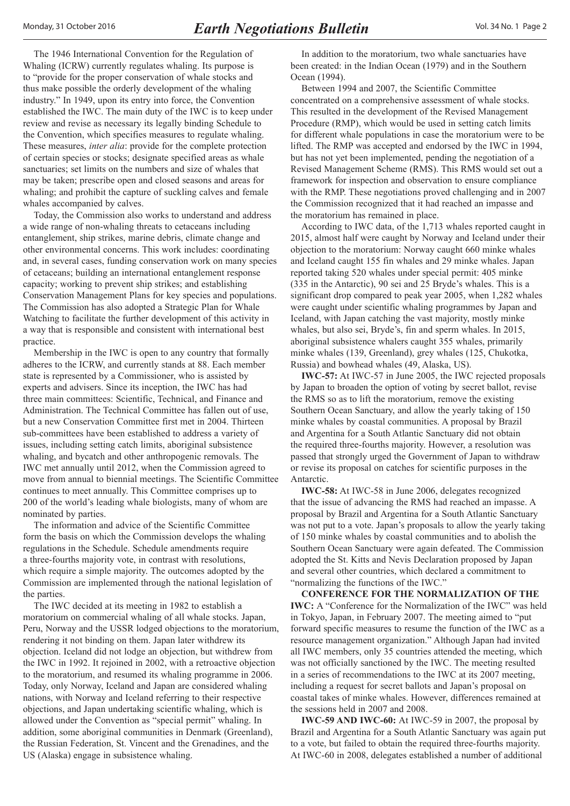<span id="page-1-0"></span>The 1946 International Convention for the Regulation of Whaling (ICRW) currently regulates whaling. Its purpose is to "provide for the proper conservation of whale stocks and thus make possible the orderly development of the whaling industry." In 1949, upon its entry into force, the Convention established the IWC. The main duty of the IWC is to keep under review and revise as necessary its legally binding Schedule to the Convention, which specifies measures to regulate whaling. These measures, *inter alia*: provide for the complete protection of certain species or stocks; designate specified areas as whale sanctuaries; set limits on the numbers and size of whales that may be taken; prescribe open and closed seasons and areas for whaling; and prohibit the capture of suckling calves and female whales accompanied by calves.

Today, the Commission also works to understand and address a wide range of non-whaling threats to cetaceans including entanglement, ship strikes, marine debris, climate change and other environmental concerns. This work includes: coordinating and, in several cases, funding conservation work on many species of cetaceans; building an international entanglement response capacity; working to prevent ship strikes; and establishing Conservation Management Plans for key species and populations. The Commission has also adopted a Strategic Plan for Whale Watching to facilitate the further development of this activity in a way that is responsible and consistent with international best practice.

Membership in the IWC is open to any country that formally adheres to the ICRW, and currently stands at 88. Each member state is represented by a Commissioner, who is assisted by experts and advisers. Since its inception, the IWC has had three main committees: Scientific, Technical, and Finance and Administration. The Technical Committee has fallen out of use, but a new Conservation Committee first met in 2004. Thirteen sub-committees have been established to address a variety of issues, including setting catch limits, aboriginal subsistence whaling, and bycatch and other anthropogenic removals. The IWC met annually until 2012, when the Commission agreed to move from annual to biennial meetings. The Scientific Committee continues to meet annually. This Committee comprises up to 200 of the world's leading whale biologists, many of whom are nominated by parties.

The information and advice of the Scientific Committee form the basis on which the Commission develops the whaling regulations in the Schedule. Schedule amendments require a three-fourths majority vote, in contrast with resolutions, which require a simple majority. The outcomes adopted by the Commission are implemented through the national legislation of the parties.

The IWC decided at its meeting in 1982 to establish a moratorium on commercial whaling of all whale stocks. Japan, Peru, Norway and the USSR lodged objections to the moratorium, rendering it not binding on them. Japan later withdrew its objection. Iceland did not lodge an objection, but withdrew from the IWC in 1992. It rejoined in 2002, with a retroactive objection to the moratorium, and resumed its whaling programme in 2006. Today, only Norway, Iceland and Japan are considered whaling nations, with Norway and Iceland referring to their respective objections, and Japan undertaking scientific whaling, which is allowed under the Convention as "special permit" whaling. In addition, some aboriginal communities in Denmark (Greenland), the Russian Federation, St. Vincent and the Grenadines, and the US (Alaska) engage in subsistence whaling.

In addition to the moratorium, two whale sanctuaries have been created: in the Indian Ocean (1979) and in the Southern Ocean (1994).

Between 1994 and 2007, the Scientific Committee concentrated on a comprehensive assessment of whale stocks. This resulted in the development of the Revised Management Procedure (RMP), which would be used in setting catch limits for different whale populations in case the moratorium were to be lifted. The RMP was accepted and endorsed by the IWC in 1994, but has not yet been implemented, pending the negotiation of a Revised Management Scheme (RMS). This RMS would set out a framework for inspection and observation to ensure compliance with the RMP. These negotiations proved challenging and in 2007 the Commission recognized that it had reached an impasse and the moratorium has remained in place.

According to IWC data, of the 1,713 whales reported caught in 2015, almost half were caught by Norway and Iceland under their objection to the moratorium: Norway caught 660 minke whales and Iceland caught 155 fin whales and 29 minke whales. Japan reported taking 520 whales under special permit: 405 minke (335 in the Antarctic), 90 sei and 25 Bryde's whales. This is a significant drop compared to peak year 2005, when 1,282 whales were caught under scientific whaling programmes by Japan and Iceland, with Japan catching the vast majority, mostly minke whales, but also sei, Bryde's, fin and sperm whales. In 2015, aboriginal subsistence whalers caught 355 whales, primarily minke whales (139, Greenland), grey whales (125, Chukotka, Russia) and bowhead whales (49, Alaska, US).

**IWC-57:** At IWC-57 in June 2005, the IWC rejected proposals by Japan to broaden the option of voting by secret ballot, revise the RMS so as to lift the moratorium, remove the existing Southern Ocean Sanctuary, and allow the yearly taking of 150 minke whales by coastal communities. A proposal by Brazil and Argentina for a South Atlantic Sanctuary did not obtain the required three-fourths majority. However, a resolution was passed that strongly urged the Government of Japan to withdraw or revise its proposal on catches for scientific purposes in the Antarctic.

**IWC-58:** At IWC-58 in June 2006, delegates recognized that the issue of advancing the RMS had reached an impasse. A proposal by Brazil and Argentina for a South Atlantic Sanctuary was not put to a vote. Japan's proposals to allow the yearly taking of 150 minke whales by coastal communities and to abolish the Southern Ocean Sanctuary were again defeated. The Commission adopted the St. Kitts and Nevis Declaration proposed by Japan and several other countries, which declared a commitment to "normalizing the functions of the IWC."

**CONFERENCE FOR THE NORMALIZATION OF THE IWC:** A "Conference for the Normalization of the IWC" was held in Tokyo, Japan, in February 2007. The meeting aimed to "put forward specific measures to resume the function of the IWC as a resource management organization." Although Japan had invited all IWC members, only 35 countries attended the meeting, which was not officially sanctioned by the IWC. The meeting resulted in a series of recommendations to the IWC at its 2007 meeting, including a request for secret ballots and Japan's proposal on coastal takes of minke whales. However, differences remained at the sessions held in 2007 and 2008.

**IWC-59 AND IWC-60:** At IWC-59 in 2007, the proposal by Brazil and Argentina for a South Atlantic Sanctuary was again put to a vote, but failed to obtain the required three-fourths majority. At IWC-60 in 2008, delegates established a number of additional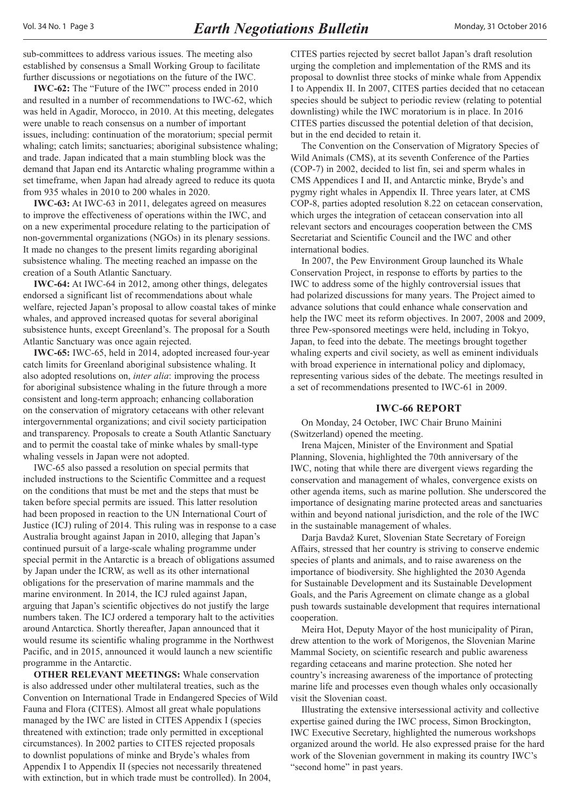<span id="page-2-0"></span>sub-committees to address various issues. The meeting also established by consensus a Small Working Group to facilitate further discussions or negotiations on the future of the IWC.

**IWC-62:** The "Future of the IWC" process ended in 2010 and resulted in a number of recommendations to IWC-62, which was held in Agadir, Morocco, in 2010. At this meeting, delegates were unable to reach consensus on a number of important issues, including: continuation of the moratorium; special permit whaling; catch limits; sanctuaries; aboriginal subsistence whaling; and trade. Japan indicated that a main stumbling block was the demand that Japan end its Antarctic whaling programme within a set timeframe, when Japan had already agreed to reduce its quota from 935 whales in 2010 to 200 whales in 2020.

**IWC-63:** At IWC-63 in 2011, delegates agreed on measures to improve the effectiveness of operations within the IWC, and on a new experimental procedure relating to the participation of non-governmental organizations (NGOs) in its plenary sessions. It made no changes to the present limits regarding aboriginal subsistence whaling. The meeting reached an impasse on the creation of a South Atlantic Sanctuary.

**IWC-64:** At IWC-64 in 2012, among other things, delegates endorsed a significant list of recommendations about whale welfare, rejected Japan's proposal to allow coastal takes of minke whales, and approved increased quotas for several aboriginal subsistence hunts, except Greenland's. The proposal for a South Atlantic Sanctuary was once again rejected.

**IWC-65:** IWC-65, held in 2014, adopted increased four-year catch limits for Greenland aboriginal subsistence whaling. It also adopted resolutions on, *inter alia*: improving the process for aboriginal subsistence whaling in the future through a more consistent and long-term approach; enhancing collaboration on the conservation of migratory cetaceans with other relevant intergovernmental organizations; and civil society participation and transparency. Proposals to create a South Atlantic Sanctuary and to permit the coastal take of minke whales by small-type whaling vessels in Japan were not adopted.

IWC-65 also passed a resolution on special permits that included instructions to the Scientific Committee and a request on the conditions that must be met and the steps that must be taken before special permits are issued. This latter resolution had been proposed in reaction to the UN International Court of Justice (ICJ) ruling of 2014. This ruling was in response to a case Australia brought against Japan in 2010, alleging that Japan's continued pursuit of a large-scale whaling programme under special permit in the Antarctic is a breach of obligations assumed by Japan under the ICRW, as well as its other international obligations for the preservation of marine mammals and the marine environment. In 2014, the ICJ ruled against Japan, arguing that Japan's scientific objectives do not justify the large numbers taken. The ICJ ordered a temporary halt to the activities around Antarctica. Shortly thereafter, Japan announced that it would resume its scientific whaling programme in the Northwest Pacific, and in 2015, announced it would launch a new scientific programme in the Antarctic.

**OTHER RELEVANT MEETINGS:** Whale conservation is also addressed under other multilateral treaties, such as the Convention on International Trade in Endangered Species of Wild Fauna and Flora (CITES). Almost all great whale populations managed by the IWC are listed in CITES Appendix I (species threatened with extinction; trade only permitted in exceptional circumstances). In 2002 parties to CITES rejected proposals to downlist populations of minke and Bryde's whales from Appendix I to Appendix II (species not necessarily threatened with extinction, but in which trade must be controlled). In 2004,

CITES parties rejected by secret ballot Japan's draft resolution urging the completion and implementation of the RMS and its proposal to downlist three stocks of minke whale from Appendix I to Appendix II. In 2007, CITES parties decided that no cetacean species should be subject to periodic review (relating to potential downlisting) while the IWC moratorium is in place. In 2016 CITES parties discussed the potential deletion of that decision, but in the end decided to retain it.

The Convention on the Conservation of Migratory Species of Wild Animals (CMS), at its seventh Conference of the Parties (COP-7) in 2002, decided to list fin, sei and sperm whales in CMS Appendices I and II, and Antarctic minke, Bryde's and pygmy right whales in Appendix II. Three years later, at CMS COP-8, parties adopted resolution 8.22 on cetacean conservation, which urges the integration of cetacean conservation into all relevant sectors and encourages cooperation between the CMS Secretariat and Scientific Council and the IWC and other international bodies.

In 2007, the Pew Environment Group launched its Whale Conservation Project, in response to efforts by parties to the IWC to address some of the highly controversial issues that had polarized discussions for many years. The Project aimed to advance solutions that could enhance whale conservation and help the IWC meet its reform objectives. In 2007, 2008 and 2009, three Pew-sponsored meetings were held, including in Tokyo, Japan, to feed into the debate. The meetings brought together whaling experts and civil society, as well as eminent individuals with broad experience in international policy and diplomacy, representing various sides of the debate. The meetings resulted in a set of recommendations presented to IWC-61 in 2009.

# **IWC-66 REPORT**

On Monday, 24 October, IWC Chair Bruno Mainini (Switzerland) opened the meeting.

Irena Majcen, Minister of the Environment and Spatial Planning, Slovenia, highlighted the 70th anniversary of the IWC, noting that while there are divergent views regarding the conservation and management of whales, convergence exists on other agenda items, such as marine pollution. She underscored the importance of designating marine protected areas and sanctuaries within and beyond national jurisdiction, and the role of the IWC in the sustainable management of whales.

Darja Bavdaž Kuret, Slovenian State Secretary of Foreign Affairs, stressed that her country is striving to conserve endemic species of plants and animals, and to raise awareness on the importance of biodiversity. She highlighted the 2030 Agenda for Sustainable Development and its Sustainable Development Goals, and the Paris Agreement on climate change as a global push towards sustainable development that requires international cooperation.

Meira Hot, Deputy Mayor of the host municipality of Piran, drew attention to the work of Morigenos, the Slovenian Marine Mammal Society, on scientific research and public awareness regarding cetaceans and marine protection. She noted her country's increasing awareness of the importance of protecting marine life and processes even though whales only occasionally visit the Slovenian coast.

Illustrating the extensive intersessional activity and collective expertise gained during the IWC process, Simon Brockington, IWC Executive Secretary, highlighted the numerous workshops organized around the world. He also expressed praise for the hard work of the Slovenian government in making its country IWC's "second home" in past years.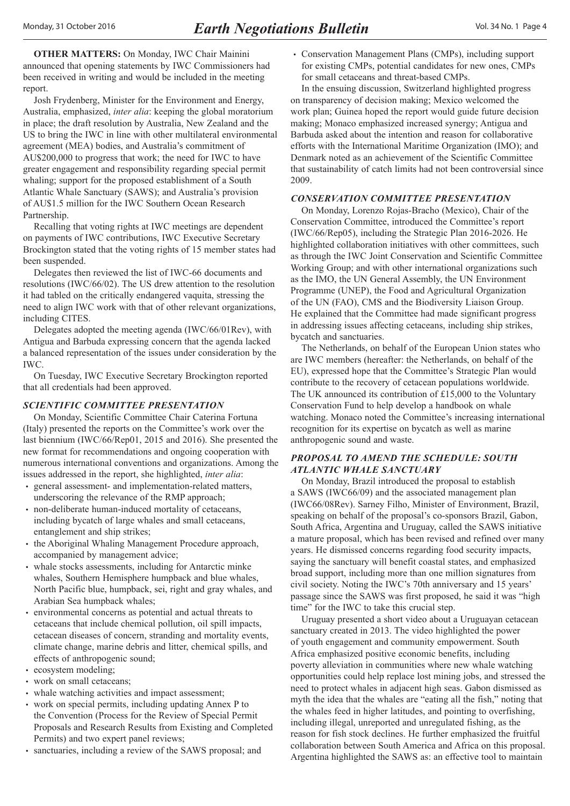<span id="page-3-0"></span>**OTHER MATTERS:** On Monday, IWC Chair Mainini announced that opening statements by IWC Commissioners had been received in writing and would be included in the meeting report.

Josh Frydenberg, Minister for the Environment and Energy, Australia, emphasized, *inter alia*: keeping the global moratorium in place; the draft resolution by Australia, New Zealand and the US to bring the IWC in line with other multilateral environmental agreement (MEA) bodies, and Australia's commitment of AU\$200,000 to progress that work; the need for IWC to have greater engagement and responsibility regarding special permit whaling; support for the proposed establishment of a South Atlantic Whale Sanctuary (SAWS); and Australia's provision of AU\$1.5 million for the IWC Southern Ocean Research Partnership.

Recalling that voting rights at IWC meetings are dependent on payments of IWC contributions, IWC Executive Secretary Brockington stated that the voting rights of 15 member states had been suspended.

Delegates then reviewed the list of IWC-66 documents and resolutions (IWC/66/02). The US drew attention to the resolution it had tabled on the critically endangered vaquita, stressing the need to align IWC work with that of other relevant organizations, including CITES.

Delegates adopted the meeting agenda (IWC/66/01Rev), with Antigua and Barbuda expressing concern that the agenda lacked a balanced representation of the issues under consideration by the IWC.

On Tuesday, IWC Executive Secretary Brockington reported that all credentials had been approved.

#### *SCIENTIFIC COMMITTEE PRESENTATION*

On Monday, Scientific Committee Chair Caterina Fortuna (Italy) presented the reports on the Committee's work over the last biennium (IWC/66/Rep01, 2015 and 2016). She presented the new format for recommendations and ongoing cooperation with numerous international conventions and organizations. Among the issues addressed in the report, she highlighted, *inter alia*:

- general assessment- and implementation-related matters, underscoring the relevance of the RMP approach;
- non-deliberate human-induced mortality of cetaceans, including bycatch of large whales and small cetaceans, entanglement and ship strikes;
- the Aboriginal Whaling Management Procedure approach, accompanied by management advice;
- whale stocks assessments, including for Antarctic minke whales, Southern Hemisphere humpback and blue whales, North Pacific blue, humpback, sei, right and gray whales, and Arabian Sea humpback whales;
- environmental concerns as potential and actual threats to cetaceans that include chemical pollution, oil spill impacts, cetacean diseases of concern, stranding and mortality events, climate change, marine debris and litter, chemical spills, and effects of anthropogenic sound;
- ecosystem modeling;
- work on small cetaceans;
- whale watching activities and impact assessment;
- work on special permits, including updating Annex P to the Convention (Process for the Review of Special Permit Proposals and Research Results from Existing and Completed Permits) and two expert panel reviews;
- sanctuaries, including a review of the SAWS proposal; and

• Conservation Management Plans (CMPs), including support for existing CMPs, potential candidates for new ones, CMPs for small cetaceans and threat-based CMPs.

In the ensuing discussion, Switzerland highlighted progress on transparency of decision making; Mexico welcomed the work plan; Guinea hoped the report would guide future decision making; Monaco emphasized increased synergy; Antigua and Barbuda asked about the intention and reason for collaborative efforts with the International Maritime Organization (IMO); and Denmark noted as an achievement of the Scientific Committee that sustainability of catch limits had not been controversial since 2009.

#### *CONSERVATION COMMITTEE PRESENTATION*

On Monday, Lorenzo Rojas-Bracho (Mexico), Chair of the Conservation Committee, introduced the Committee's report (IWC/66/Rep05), including the Strategic Plan 2016-2026. He highlighted collaboration initiatives with other committees, such as through the IWC Joint Conservation and Scientific Committee Working Group; and with other international organizations such as the IMO, the UN General Assembly, the UN Environment Programme (UNEP), the Food and Agricultural Organization of the UN (FAO), CMS and the Biodiversity Liaison Group. He explained that the Committee had made significant progress in addressing issues affecting cetaceans, including ship strikes, bycatch and sanctuaries.

The Netherlands, on behalf of the European Union states who are IWC members (hereafter: the Netherlands, on behalf of the EU), expressed hope that the Committee's Strategic Plan would contribute to the recovery of cetacean populations worldwide. The UK announced its contribution of £15,000 to the Voluntary Conservation Fund to help develop a handbook on whale watching. Monaco noted the Committee's increasing international recognition for its expertise on bycatch as well as marine anthropogenic sound and waste.

# *PROPOSAL TO AMEND THE SCHEDULE: SOUTH ATLANTIC WHALE SANCTUARY*

On Monday, Brazil introduced the proposal to establish a SAWS (IWC66/09) and the associated management plan (IWC66/08Rev). Sarney Filho, Minister of Environment, Brazil, speaking on behalf of the proposal's co-sponsors Brazil, Gabon, South Africa, Argentina and Uruguay, called the SAWS initiative a mature proposal, which has been revised and refined over many years. He dismissed concerns regarding food security impacts, saying the sanctuary will benefit coastal states, and emphasized broad support, including more than one million signatures from civil society. Noting the IWC's 70th anniversary and 15 years' passage since the SAWS was first proposed, he said it was "high time" for the IWC to take this crucial step.

Uruguay presented a short video about a Uruguayan cetacean sanctuary created in 2013. The video highlighted the power of youth engagement and community empowerment. South Africa emphasized positive economic benefits, including poverty alleviation in communities where new whale watching opportunities could help replace lost mining jobs, and stressed the need to protect whales in adjacent high seas. Gabon dismissed as myth the idea that the whales are "eating all the fish," noting that the whales feed in higher latitudes, and pointing to overfishing, including illegal, unreported and unregulated fishing, as the reason for fish stock declines. He further emphasized the fruitful collaboration between South America and Africa on this proposal. Argentina highlighted the SAWS as: an effective tool to maintain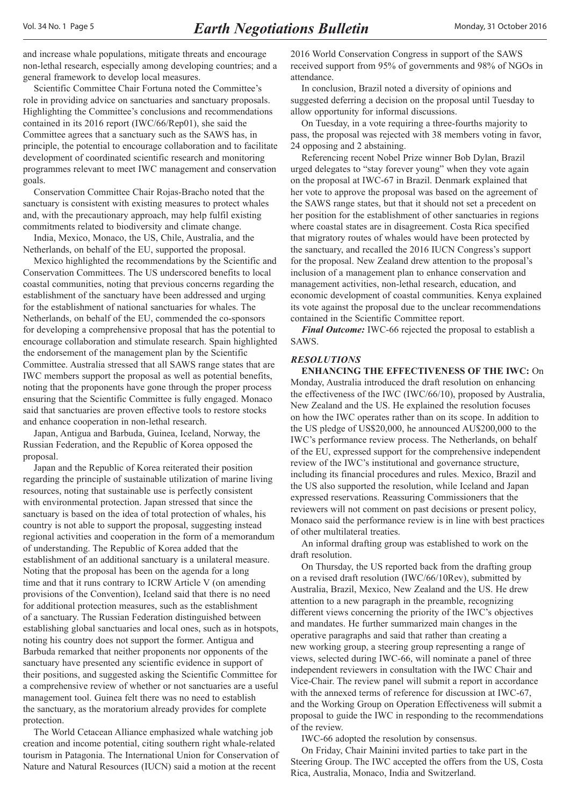<span id="page-4-0"></span>and increase whale populations, mitigate threats and encourage non-lethal research, especially among developing countries; and a general framework to develop local measures.

Scientific Committee Chair Fortuna noted the Committee's role in providing advice on sanctuaries and sanctuary proposals. Highlighting the Committee's conclusions and recommendations contained in its 2016 report (IWC/66/Rep01), she said the Committee agrees that a sanctuary such as the SAWS has, in principle, the potential to encourage collaboration and to facilitate development of coordinated scientific research and monitoring programmes relevant to meet IWC management and conservation goals.

Conservation Committee Chair Rojas-Bracho noted that the sanctuary is consistent with existing measures to protect whales and, with the precautionary approach, may help fulfil existing commitments related to biodiversity and climate change.

India, Mexico, Monaco, the US, Chile, Australia, and the Netherlands, on behalf of the EU, supported the proposal.

Mexico highlighted the recommendations by the Scientific and Conservation Committees. The US underscored benefits to local coastal communities, noting that previous concerns regarding the establishment of the sanctuary have been addressed and urging for the establishment of national sanctuaries for whales. The Netherlands, on behalf of the EU, commended the co-sponsors for developing a comprehensive proposal that has the potential to encourage collaboration and stimulate research. Spain highlighted the endorsement of the management plan by the Scientific Committee. Australia stressed that all SAWS range states that are IWC members support the proposal as well as potential benefits, noting that the proponents have gone through the proper process ensuring that the Scientific Committee is fully engaged. Monaco said that sanctuaries are proven effective tools to restore stocks and enhance cooperation in non-lethal research.

Japan, Antigua and Barbuda, Guinea, Iceland, Norway, the Russian Federation, and the Republic of Korea opposed the proposal.

Japan and the Republic of Korea reiterated their position regarding the principle of sustainable utilization of marine living resources, noting that sustainable use is perfectly consistent with environmental protection. Japan stressed that since the sanctuary is based on the idea of total protection of whales, his country is not able to support the proposal, suggesting instead regional activities and cooperation in the form of a memorandum of understanding. The Republic of Korea added that the establishment of an additional sanctuary is a unilateral measure. Noting that the proposal has been on the agenda for a long time and that it runs contrary to ICRW Article V (on amending provisions of the Convention), Iceland said that there is no need for additional protection measures, such as the establishment of a sanctuary. The Russian Federation distinguished between establishing global sanctuaries and local ones, such as in hotspots, noting his country does not support the former. Antigua and Barbuda remarked that neither proponents nor opponents of the sanctuary have presented any scientific evidence in support of their positions, and suggested asking the Scientific Committee for a comprehensive review of whether or not sanctuaries are a useful management tool. Guinea felt there was no need to establish the sanctuary, as the moratorium already provides for complete protection.

The World Cetacean Alliance emphasized whale watching job creation and income potential, citing southern right whale-related tourism in Patagonia. The International Union for Conservation of Nature and Natural Resources (IUCN) said a motion at the recent

2016 World Conservation Congress in support of the SAWS received support from 95% of governments and 98% of NGOs in attendance.

In conclusion, Brazil noted a diversity of opinions and suggested deferring a decision on the proposal until Tuesday to allow opportunity for informal discussions.

On Tuesday, in a vote requiring a three-fourths majority to pass, the proposal was rejected with 38 members voting in favor, 24 opposing and 2 abstaining.

Referencing recent Nobel Prize winner Bob Dylan, Brazil urged delegates to "stay forever young" when they vote again on the proposal at IWC-67 in Brazil. Denmark explained that her vote to approve the proposal was based on the agreement of the SAWS range states, but that it should not set a precedent on her position for the establishment of other sanctuaries in regions where coastal states are in disagreement. Costa Rica specified that migratory routes of whales would have been protected by the sanctuary, and recalled the 2016 IUCN Congress's support for the proposal. New Zealand drew attention to the proposal's inclusion of a management plan to enhance conservation and management activities, non-lethal research, education, and economic development of coastal communities. Kenya explained its vote against the proposal due to the unclear recommendations contained in the Scientific Committee report.

*Final Outcome:* IWC-66 rejected the proposal to establish a SAWS.

#### *RESOLUTIONS*

**ENHANCING THE EFFECTIVENESS OF THE IWC:** On Monday, Australia introduced the draft resolution on enhancing the effectiveness of the IWC (IWC/66/10), proposed by Australia, New Zealand and the US. He explained the resolution focuses on how the IWC operates rather than on its scope. In addition to the US pledge of US\$20,000, he announced AU\$200,000 to the IWC's performance review process. The Netherlands, on behalf of the EU, expressed support for the comprehensive independent review of the IWC's institutional and governance structure, including its financial procedures and rules. Mexico, Brazil and the US also supported the resolution, while Iceland and Japan expressed reservations. Reassuring Commissioners that the reviewers will not comment on past decisions or present policy, Monaco said the performance review is in line with best practices of other multilateral treaties.

An informal drafting group was established to work on the draft resolution.

On Thursday, the US reported back from the drafting group on a revised draft resolution (IWC/66/10Rev), submitted by Australia, Brazil, Mexico, New Zealand and the US. He drew attention to a new paragraph in the preamble, recognizing different views concerning the priority of the IWC's objectives and mandates. He further summarized main changes in the operative paragraphs and said that rather than creating a new working group, a steering group representing a range of views, selected during IWC-66, will nominate a panel of three independent reviewers in consultation with the IWC Chair and Vice-Chair. The review panel will submit a report in accordance with the annexed terms of reference for discussion at IWC-67, and the Working Group on Operation Effectiveness will submit a proposal to guide the IWC in responding to the recommendations of the review.

IWC-66 adopted the resolution by consensus.

On Friday, Chair Mainini invited parties to take part in the Steering Group. The IWC accepted the offers from the US, Costa Rica, Australia, Monaco, India and Switzerland.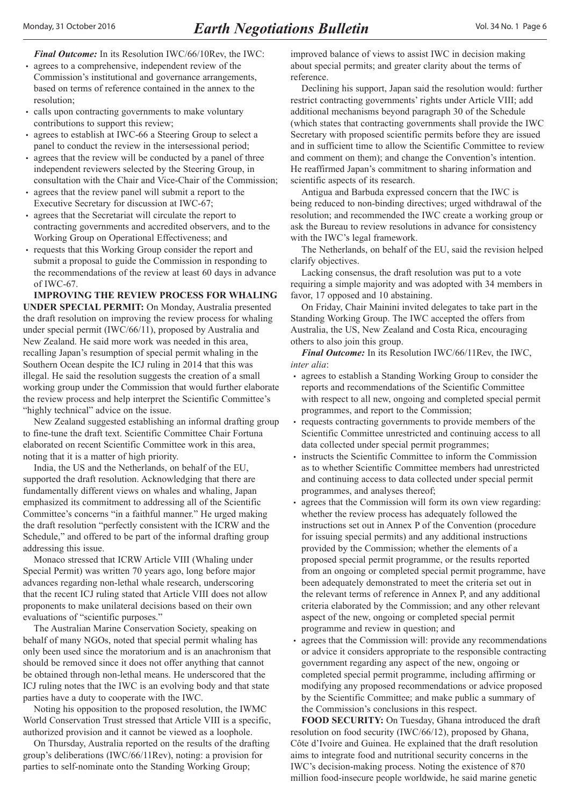*Final Outcome:* In its Resolution IWC/66/10Rev, the IWC:

- agrees to a comprehensive, independent review of the Commission's institutional and governance arrangements, based on terms of reference contained in the annex to the resolution;
- calls upon contracting governments to make voluntary contributions to support this review;
- agrees to establish at IWC-66 a Steering Group to select a panel to conduct the review in the intersessional period;
- agrees that the review will be conducted by a panel of three independent reviewers selected by the Steering Group, in consultation with the Chair and Vice-Chair of the Commission;
- agrees that the review panel will submit a report to the Executive Secretary for discussion at IWC-67;
- agrees that the Secretariat will circulate the report to contracting governments and accredited observers, and to the Working Group on Operational Effectiveness; and
- requests that this Working Group consider the report and submit a proposal to guide the Commission in responding to the recommendations of the review at least 60 days in advance of IWC-67.

**IMPROVING THE REVIEW PROCESS FOR WHALING UNDER SPECIAL PERMIT:** On Monday, Australia presented the draft resolution on improving the review process for whaling under special permit (IWC/66/11), proposed by Australia and New Zealand. He said more work was needed in this area, recalling Japan's resumption of special permit whaling in the Southern Ocean despite the ICJ ruling in 2014 that this was illegal. He said the resolution suggests the creation of a small working group under the Commission that would further elaborate the review process and help interpret the Scientific Committee's "highly technical" advice on the issue.

New Zealand suggested establishing an informal drafting group to fine-tune the draft text. Scientific Committee Chair Fortuna elaborated on recent Scientific Committee work in this area, noting that it is a matter of high priority.

India, the US and the Netherlands, on behalf of the EU, supported the draft resolution. Acknowledging that there are fundamentally different views on whales and whaling, Japan emphasized its commitment to addressing all of the Scientific Committee's concerns "in a faithful manner." He urged making the draft resolution "perfectly consistent with the ICRW and the Schedule," and offered to be part of the informal drafting group addressing this issue.

Monaco stressed that ICRW Article VIII (Whaling under Special Permit) was written 70 years ago, long before major advances regarding non-lethal whale research, underscoring that the recent ICJ ruling stated that Article VIII does not allow proponents to make unilateral decisions based on their own evaluations of "scientific purposes."

The Australian Marine Conservation Society, speaking on behalf of many NGOs, noted that special permit whaling has only been used since the moratorium and is an anachronism that should be removed since it does not offer anything that cannot be obtained through non-lethal means. He underscored that the ICJ ruling notes that the IWC is an evolving body and that state parties have a duty to cooperate with the IWC.

Noting his opposition to the proposed resolution, the IWMC World Conservation Trust stressed that Article VIII is a specific, authorized provision and it cannot be viewed as a loophole.

On Thursday, Australia reported on the results of the drafting group's deliberations (IWC/66/11Rev), noting: a provision for parties to self-nominate onto the Standing Working Group;

improved balance of views to assist IWC in decision making about special permits; and greater clarity about the terms of reference.

Declining his support, Japan said the resolution would: further restrict contracting governments' rights under Article VIII; add additional mechanisms beyond paragraph 30 of the Schedule (which states that contracting governments shall provide the IWC Secretary with proposed scientific permits before they are issued and in sufficient time to allow the Scientific Committee to review and comment on them); and change the Convention's intention. He reaffirmed Japan's commitment to sharing information and scientific aspects of its research.

Antigua and Barbuda expressed concern that the IWC is being reduced to non-binding directives; urged withdrawal of the resolution; and recommended the IWC create a working group or ask the Bureau to review resolutions in advance for consistency with the IWC's legal framework.

The Netherlands, on behalf of the EU, said the revision helped clarify objectives.

Lacking consensus, the draft resolution was put to a vote requiring a simple majority and was adopted with 34 members in favor, 17 opposed and 10 abstaining.

On Friday, Chair Mainini invited delegates to take part in the Standing Working Group. The IWC accepted the offers from Australia, the US, New Zealand and Costa Rica, encouraging others to also join this group.

*Final Outcome:* In its Resolution IWC/66/11Rev, the IWC, *inter alia*:

- agrees to establish a Standing Working Group to consider the reports and recommendations of the Scientific Committee with respect to all new, ongoing and completed special permit programmes, and report to the Commission;
- requests contracting governments to provide members of the Scientific Committee unrestricted and continuing access to all data collected under special permit programmes;
- instructs the Scientific Committee to inform the Commission as to whether Scientific Committee members had unrestricted and continuing access to data collected under special permit programmes, and analyses thereof;
- agrees that the Commission will form its own view regarding: whether the review process has adequately followed the instructions set out in Annex P of the Convention (procedure for issuing special permits) and any additional instructions provided by the Commission; whether the elements of a proposed special permit programme, or the results reported from an ongoing or completed special permit programme, have been adequately demonstrated to meet the criteria set out in the relevant terms of reference in Annex P, and any additional criteria elaborated by the Commission; and any other relevant aspect of the new, ongoing or completed special permit programme and review in question; and
- agrees that the Commission will: provide any recommendations or advice it considers appropriate to the responsible contracting government regarding any aspect of the new, ongoing or completed special permit programme, including affirming or modifying any proposed recommendations or advice proposed by the Scientific Committee; and make public a summary of the Commission's conclusions in this respect.

**FOOD SECURITY:** On Tuesday, Ghana introduced the draft resolution on food security (IWC/66/12), proposed by Ghana, Côte d'Ivoire and Guinea. He explained that the draft resolution aims to integrate food and nutritional security concerns in the IWC's decision-making process. Noting the existence of 870 million food-insecure people worldwide, he said marine genetic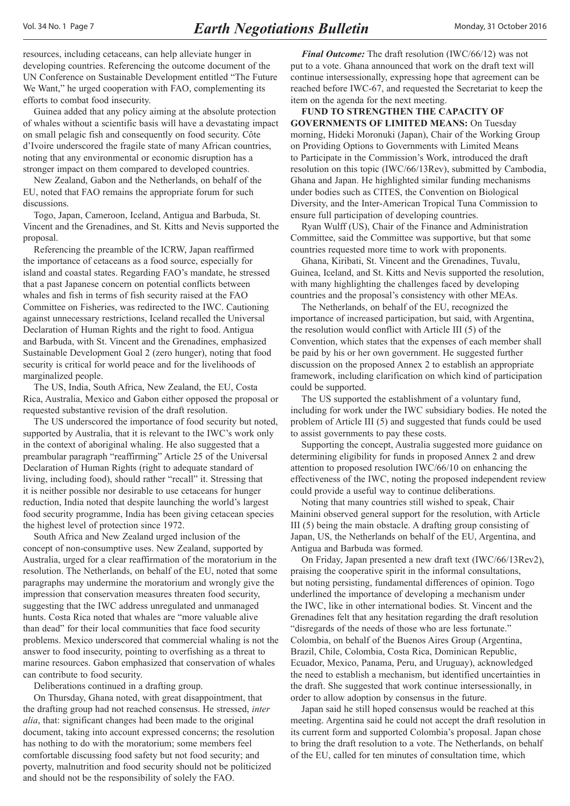resources, including cetaceans, can help alleviate hunger in developing countries. Referencing the outcome document of the UN Conference on Sustainable Development entitled "The Future We Want," he urged cooperation with FAO, complementing its efforts to combat food insecurity.

Guinea added that any policy aiming at the absolute protection of whales without a scientific basis will have a devastating impact on small pelagic fish and consequently on food security. Côte d'Ivoire underscored the fragile state of many African countries, noting that any environmental or economic disruption has a stronger impact on them compared to developed countries.

New Zealand, Gabon and the Netherlands, on behalf of the EU, noted that FAO remains the appropriate forum for such discussions.

Togo, Japan, Cameroon, Iceland, Antigua and Barbuda, St. Vincent and the Grenadines, and St. Kitts and Nevis supported the proposal.

Referencing the preamble of the ICRW, Japan reaffirmed the importance of cetaceans as a food source, especially for island and coastal states. Regarding FAO's mandate, he stressed that a past Japanese concern on potential conflicts between whales and fish in terms of fish security raised at the FAO Committee on Fisheries, was redirected to the IWC. Cautioning against unnecessary restrictions, Iceland recalled the Universal Declaration of Human Rights and the right to food. Antigua and Barbuda, with St. Vincent and the Grenadines, emphasized Sustainable Development Goal 2 (zero hunger), noting that food security is critical for world peace and for the livelihoods of marginalized people.

The US, India, South Africa, New Zealand, the EU, Costa Rica, Australia, Mexico and Gabon either opposed the proposal or requested substantive revision of the draft resolution.

The US underscored the importance of food security but noted, supported by Australia, that it is relevant to the IWC's work only in the context of aboriginal whaling. He also suggested that a preambular paragraph "reaffirming" Article 25 of the Universal Declaration of Human Rights (right to adequate standard of living, including food), should rather "recall" it. Stressing that it is neither possible nor desirable to use cetaceans for hunger reduction, India noted that despite launching the world's largest food security programme, India has been giving cetacean species the highest level of protection since 1972.

South Africa and New Zealand urged inclusion of the concept of non-consumptive uses. New Zealand, supported by Australia, urged for a clear reaffirmation of the moratorium in the resolution. The Netherlands, on behalf of the EU, noted that some paragraphs may undermine the moratorium and wrongly give the impression that conservation measures threaten food security, suggesting that the IWC address unregulated and unmanaged hunts. Costa Rica noted that whales are "more valuable alive than dead" for their local communities that face food security problems. Mexico underscored that commercial whaling is not the answer to food insecurity, pointing to overfishing as a threat to marine resources. Gabon emphasized that conservation of whales can contribute to food security.

Deliberations continued in a drafting group.

On Thursday, Ghana noted, with great disappointment, that the drafting group had not reached consensus. He stressed, *inter alia*, that: significant changes had been made to the original document, taking into account expressed concerns; the resolution has nothing to do with the moratorium; some members feel comfortable discussing food safety but not food security; and poverty, malnutrition and food security should not be politicized and should not be the responsibility of solely the FAO.

*Final Outcome:* The draft resolution (IWC/66/12) was not put to a vote. Ghana announced that work on the draft text will continue intersessionally, expressing hope that agreement can be reached before IWC-67, and requested the Secretariat to keep the item on the agenda for the next meeting.

**FUND TO STRENGTHEN THE CAPACITY OF GOVERNMENTS OF LIMITED MEANS:** On Tuesday morning, Hideki Moronuki (Japan), Chair of the Working Group on Providing Options to Governments with Limited Means to Participate in the Commission's Work, introduced the draft resolution on this topic (IWC/66/13Rev), submitted by Cambodia, Ghana and Japan. He highlighted similar funding mechanisms under bodies such as CITES, the Convention on Biological Diversity, and the Inter-American Tropical Tuna Commission to ensure full participation of developing countries.

Ryan Wulff (US), Chair of the Finance and Administration Committee, said the Committee was supportive, but that some countries requested more time to work with proponents.

Ghana, Kiribati, St. Vincent and the Grenadines, Tuvalu, Guinea, Iceland, and St. Kitts and Nevis supported the resolution, with many highlighting the challenges faced by developing countries and the proposal's consistency with other MEAs.

The Netherlands, on behalf of the EU, recognized the importance of increased participation, but said, with Argentina, the resolution would conflict with Article III (5) of the Convention, which states that the expenses of each member shall be paid by his or her own government. He suggested further discussion on the proposed Annex 2 to establish an appropriate framework, including clarification on which kind of participation could be supported.

The US supported the establishment of a voluntary fund, including for work under the IWC subsidiary bodies. He noted the problem of Article III (5) and suggested that funds could be used to assist governments to pay these costs.

Supporting the concept, Australia suggested more guidance on determining eligibility for funds in proposed Annex 2 and drew attention to proposed resolution IWC/66/10 on enhancing the effectiveness of the IWC, noting the proposed independent review could provide a useful way to continue deliberations.

Noting that many countries still wished to speak, Chair Mainini observed general support for the resolution, with Article III (5) being the main obstacle. A drafting group consisting of Japan, US, the Netherlands on behalf of the EU, Argentina, and Antigua and Barbuda was formed.

On Friday, Japan presented a new draft text (IWC/66/13Rev2), praising the cooperative spirit in the informal consultations, but noting persisting, fundamental differences of opinion. Togo underlined the importance of developing a mechanism under the IWC, like in other international bodies. St. Vincent and the Grenadines felt that any hesitation regarding the draft resolution "disregards of the needs of those who are less fortunate." Colombia, on behalf of the Buenos Aires Group (Argentina, Brazil, Chile, Colombia, Costa Rica, Dominican Republic, Ecuador, Mexico, Panama, Peru, and Uruguay), acknowledged the need to establish a mechanism, but identified uncertainties in the draft. She suggested that work continue intersessionally, in order to allow adoption by consensus in the future.

Japan said he still hoped consensus would be reached at this meeting. Argentina said he could not accept the draft resolution in its current form and supported Colombia's proposal. Japan chose to bring the draft resolution to a vote. The Netherlands, on behalf of the EU, called for ten minutes of consultation time, which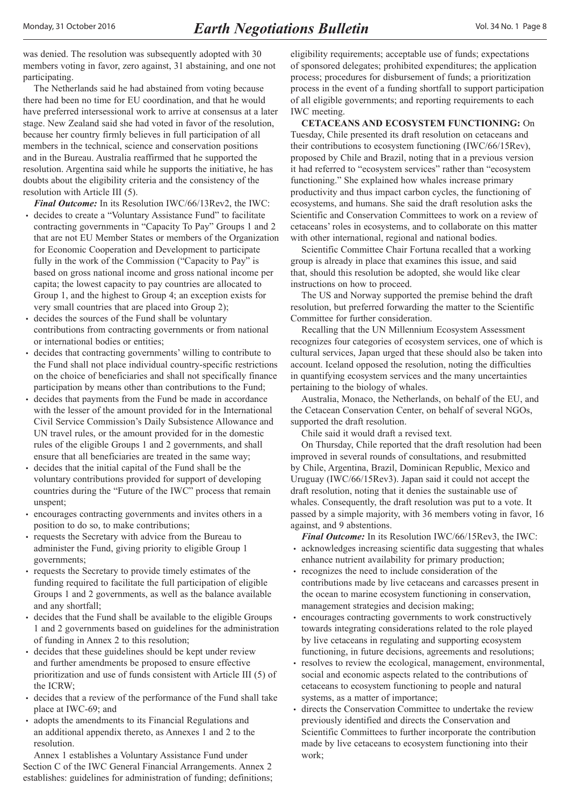was denied. The resolution was subsequently adopted with 30 members voting in favor, zero against, 31 abstaining, and one not participating.

The Netherlands said he had abstained from voting because there had been no time for EU coordination, and that he would have preferred intersessional work to arrive at consensus at a later stage. New Zealand said she had voted in favor of the resolution, because her country firmly believes in full participation of all members in the technical, science and conservation positions and in the Bureau. Australia reaffirmed that he supported the resolution. Argentina said while he supports the initiative, he has doubts about the eligibility criteria and the consistency of the resolution with Article III (5).

*Final Outcome:* In its Resolution IWC/66/13Rev2, the IWC:

- decides to create a "Voluntary Assistance Fund" to facilitate contracting governments in "Capacity To Pay" Groups 1 and 2 that are not EU Member States or members of the Organization for Economic Cooperation and Development to participate fully in the work of the Commission ("Capacity to Pay" is based on gross national income and gross national income per capita; the lowest capacity to pay countries are allocated to Group 1, and the highest to Group 4; an exception exists for very small countries that are placed into Group 2);
- decides the sources of the Fund shall be voluntary contributions from contracting governments or from national or international bodies or entities;
- decides that contracting governments' willing to contribute to the Fund shall not place individual country-specific restrictions on the choice of beneficiaries and shall not specifically finance participation by means other than contributions to the Fund;
- decides that payments from the Fund be made in accordance with the lesser of the amount provided for in the International Civil Service Commission's Daily Subsistence Allowance and UN travel rules, or the amount provided for in the domestic rules of the eligible Groups 1 and 2 governments, and shall ensure that all beneficiaries are treated in the same way;
- decides that the initial capital of the Fund shall be the voluntary contributions provided for support of developing countries during the "Future of the IWC" process that remain unspent;
- encourages contracting governments and invites others in a position to do so, to make contributions;
- requests the Secretary with advice from the Bureau to administer the Fund, giving priority to eligible Group 1 governments;
- requests the Secretary to provide timely estimates of the funding required to facilitate the full participation of eligible Groups 1 and 2 governments, as well as the balance available and any shortfall;
- decides that the Fund shall be available to the eligible Groups 1 and 2 governments based on guidelines for the administration of funding in Annex 2 to this resolution;
- decides that these guidelines should be kept under review and further amendments be proposed to ensure effective prioritization and use of funds consistent with Article III (5) of the ICRW;
- decides that a review of the performance of the Fund shall take place at IWC-69; and
- adopts the amendments to its Financial Regulations and an additional appendix thereto, as Annexes 1 and 2 to the resolution.

Annex 1 establishes a Voluntary Assistance Fund under Section C of the IWC General Financial Arrangements. Annex 2 establishes: guidelines for administration of funding; definitions;

eligibility requirements; acceptable use of funds; expectations of sponsored delegates; prohibited expenditures; the application process; procedures for disbursement of funds; a prioritization process in the event of a funding shortfall to support participation of all eligible governments; and reporting requirements to each IWC meeting.

**CETACEANS AND ECOSYSTEM FUNCTIONING:** On Tuesday, Chile presented its draft resolution on cetaceans and their contributions to ecosystem functioning (IWC/66/15Rev), proposed by Chile and Brazil, noting that in a previous version it had referred to "ecosystem services" rather than "ecosystem functioning." She explained how whales increase primary productivity and thus impact carbon cycles, the functioning of ecosystems, and humans. She said the draft resolution asks the Scientific and Conservation Committees to work on a review of cetaceans' roles in ecosystems, and to collaborate on this matter with other international, regional and national bodies.

Scientific Committee Chair Fortuna recalled that a working group is already in place that examines this issue, and said that, should this resolution be adopted, she would like clear instructions on how to proceed.

The US and Norway supported the premise behind the draft resolution, but preferred forwarding the matter to the Scientific Committee for further consideration.

Recalling that the UN Millennium Ecosystem Assessment recognizes four categories of ecosystem services, one of which is cultural services, Japan urged that these should also be taken into account. Iceland opposed the resolution, noting the difficulties in quantifying ecosystem services and the many uncertainties pertaining to the biology of whales.

Australia, Monaco, the Netherlands, on behalf of the EU, and the Cetacean Conservation Center, on behalf of several NGOs, supported the draft resolution.

Chile said it would draft a revised text.

On Thursday, Chile reported that the draft resolution had been improved in several rounds of consultations, and resubmitted by Chile, Argentina, Brazil, Dominican Republic, Mexico and Uruguay (IWC/66/15Rev3). Japan said it could not accept the draft resolution, noting that it denies the sustainable use of whales. Consequently, the draft resolution was put to a vote. It passed by a simple majority, with 36 members voting in favor, 16 against, and 9 abstentions.

*Final Outcome:* In its Resolution IWC/66/15Rev3, the IWC: acknowledges increasing scientific data suggesting that whales

- enhance nutrient availability for primary production;
- recognizes the need to include consideration of the contributions made by live cetaceans and carcasses present in the ocean to marine ecosystem functioning in conservation, management strategies and decision making;
- encourages contracting governments to work constructively towards integrating considerations related to the role played by live cetaceans in regulating and supporting ecosystem functioning, in future decisions, agreements and resolutions;
- resolves to review the ecological, management, environmental, social and economic aspects related to the contributions of cetaceans to ecosystem functioning to people and natural systems, as a matter of importance;
- directs the Conservation Committee to undertake the review previously identified and directs the Conservation and Scientific Committees to further incorporate the contribution made by live cetaceans to ecosystem functioning into their work;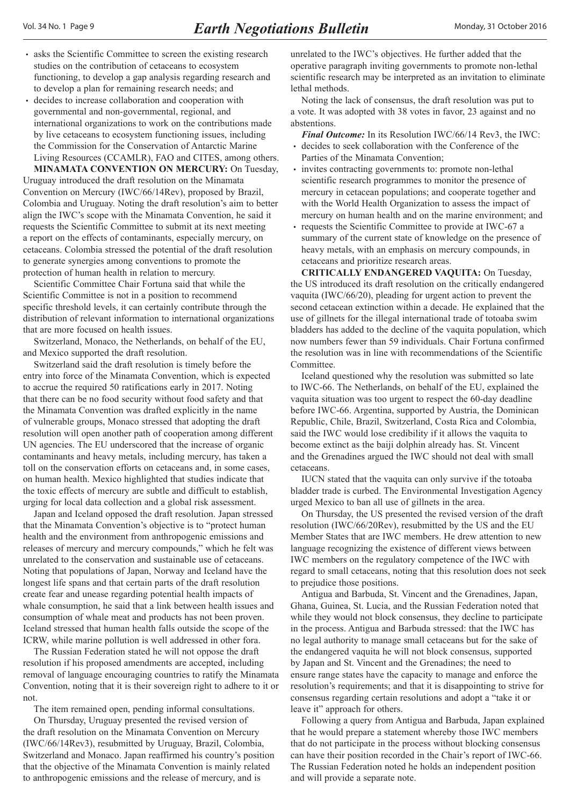- asks the Scientific Committee to screen the existing research studies on the contribution of cetaceans to ecosystem functioning, to develop a gap analysis regarding research and to develop a plan for remaining research needs; and
- decides to increase collaboration and cooperation with governmental and non-governmental, regional, and international organizations to work on the contributions made by live cetaceans to ecosystem functioning issues, including the Commission for the Conservation of Antarctic Marine Living Resources (CCAMLR), FAO and CITES, among others. **MINAMATA CONVENTION ON MERCURY:** On Tuesday,

Uruguay introduced the draft resolution on the Minamata Convention on Mercury (IWC/66/14Rev), proposed by Brazil, Colombia and Uruguay. Noting the draft resolution's aim to better align the IWC's scope with the Minamata Convention, he said it requests the Scientific Committee to submit at its next meeting a report on the effects of contaminants, especially mercury, on cetaceans. Colombia stressed the potential of the draft resolution to generate synergies among conventions to promote the protection of human health in relation to mercury.

Scientific Committee Chair Fortuna said that while the Scientific Committee is not in a position to recommend specific threshold levels, it can certainly contribute through the distribution of relevant information to international organizations that are more focused on health issues.

Switzerland, Monaco, the Netherlands, on behalf of the EU, and Mexico supported the draft resolution.

Switzerland said the draft resolution is timely before the entry into force of the Minamata Convention, which is expected to accrue the required 50 ratifications early in 2017. Noting that there can be no food security without food safety and that the Minamata Convention was drafted explicitly in the name of vulnerable groups, Monaco stressed that adopting the draft resolution will open another path of cooperation among different UN agencies. The EU underscored that the increase of organic contaminants and heavy metals, including mercury, has taken a toll on the conservation efforts on cetaceans and, in some cases, on human health. Mexico highlighted that studies indicate that the toxic effects of mercury are subtle and difficult to establish, urging for local data collection and a global risk assessment.

Japan and Iceland opposed the draft resolution. Japan stressed that the Minamata Convention's objective is to "protect human health and the environment from anthropogenic emissions and releases of mercury and mercury compounds," which he felt was unrelated to the conservation and sustainable use of cetaceans. Noting that populations of Japan, Norway and Iceland have the longest life spans and that certain parts of the draft resolution create fear and unease regarding potential health impacts of whale consumption, he said that a link between health issues and consumption of whale meat and products has not been proven. Iceland stressed that human health falls outside the scope of the ICRW, while marine pollution is well addressed in other fora.

The Russian Federation stated he will not oppose the draft resolution if his proposed amendments are accepted, including removal of language encouraging countries to ratify the Minamata Convention, noting that it is their sovereign right to adhere to it or not.

The item remained open, pending informal consultations.

On Thursday, Uruguay presented the revised version of the draft resolution on the Minamata Convention on Mercury (IWC/66/14Rev3), resubmitted by Uruguay, Brazil, Colombia, Switzerland and Monaco. Japan reaffirmed his country's position that the objective of the Minamata Convention is mainly related to anthropogenic emissions and the release of mercury, and is

unrelated to the IWC's objectives. He further added that the operative paragraph inviting governments to promote non-lethal scientific research may be interpreted as an invitation to eliminate lethal methods.

Noting the lack of consensus, the draft resolution was put to a vote. It was adopted with 38 votes in favor, 23 against and no abstentions.

*Final Outcome:* In its Resolution IWC/66/14 Rev3, the IWC: • decides to seek collaboration with the Conference of the

- Parties of the Minamata Convention;
- invites contracting governments to: promote non-lethal scientific research programmes to monitor the presence of mercury in cetacean populations; and cooperate together and with the World Health Organization to assess the impact of mercury on human health and on the marine environment; and
- requests the Scientific Committee to provide at IWC-67 a summary of the current state of knowledge on the presence of heavy metals, with an emphasis on mercury compounds, in cetaceans and prioritize research areas.

**CRITICALLY ENDANGERED VAQUITA:** On Tuesday, the US introduced its draft resolution on the critically endangered vaquita (IWC/66/20), pleading for urgent action to prevent the second cetacean extinction within a decade. He explained that the use of gillnets for the illegal international trade of totoaba swim bladders has added to the decline of the vaquita population, which now numbers fewer than 59 individuals. Chair Fortuna confirmed the resolution was in line with recommendations of the Scientific Committee.

Iceland questioned why the resolution was submitted so late to IWC-66. The Netherlands, on behalf of the EU, explained the vaquita situation was too urgent to respect the 60-day deadline before IWC-66. Argentina, supported by Austria, the Dominican Republic, Chile, Brazil, Switzerland, Costa Rica and Colombia, said the IWC would lose credibility if it allows the vaquita to become extinct as the baiji dolphin already has. St. Vincent and the Grenadines argued the IWC should not deal with small cetaceans.

IUCN stated that the vaquita can only survive if the totoaba bladder trade is curbed. The Environmental Investigation Agency urged Mexico to ban all use of gillnets in the area.

On Thursday, the US presented the revised version of the draft resolution (IWC/66/20Rev), resubmitted by the US and the EU Member States that are IWC members. He drew attention to new language recognizing the existence of different views between IWC members on the regulatory competence of the IWC with regard to small cetaceans, noting that this resolution does not seek to prejudice those positions.

Antigua and Barbuda, St. Vincent and the Grenadines, Japan, Ghana, Guinea, St. Lucia, and the Russian Federation noted that while they would not block consensus, they decline to participate in the process. Antigua and Barbuda stressed: that the IWC has no legal authority to manage small cetaceans but for the sake of the endangered vaquita he will not block consensus, supported by Japan and St. Vincent and the Grenadines; the need to ensure range states have the capacity to manage and enforce the resolution's requirements; and that it is disappointing to strive for consensus regarding certain resolutions and adopt a "take it or leave it" approach for others.

Following a query from Antigua and Barbuda, Japan explained that he would prepare a statement whereby those IWC members that do not participate in the process without blocking consensus can have their position recorded in the Chair's report of IWC-66. The Russian Federation noted he holds an independent position and will provide a separate note.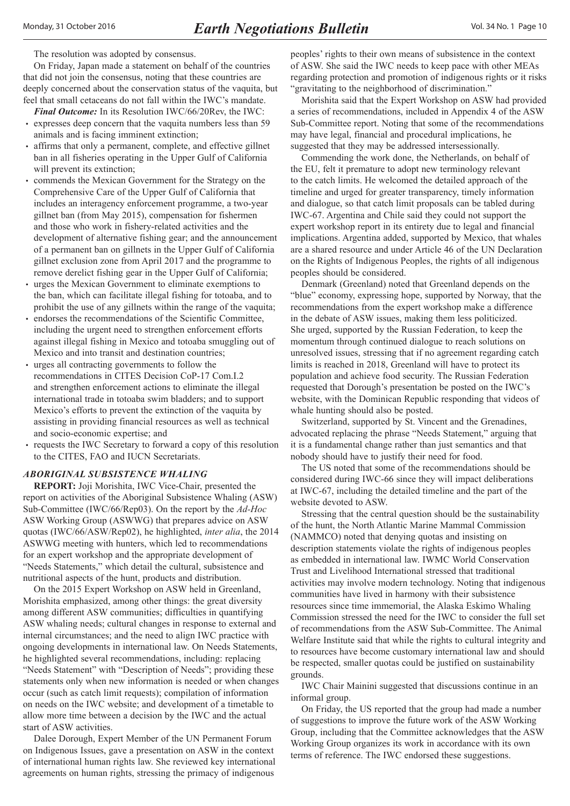<span id="page-9-0"></span>The resolution was adopted by consensus.

On Friday, Japan made a statement on behalf of the countries that did not join the consensus, noting that these countries are deeply concerned about the conservation status of the vaquita, but feel that small cetaceans do not fall within the IWC's mandate.

*Final Outcome:* In its Resolution IWC/66/20Rev, the IWC:

- expresses deep concern that the vaquita numbers less than 59 animals and is facing imminent extinction;
- affirms that only a permanent, complete, and effective gillnet ban in all fisheries operating in the Upper Gulf of California will prevent its extinction;
- commends the Mexican Government for the Strategy on the Comprehensive Care of the Upper Gulf of California that includes an interagency enforcement programme, a two-year gillnet ban (from May 2015), compensation for fishermen and those who work in fishery-related activities and the development of alternative fishing gear; and the announcement of a permanent ban on gillnets in the Upper Gulf of California gillnet exclusion zone from April 2017 and the programme to remove derelict fishing gear in the Upper Gulf of California;
- urges the Mexican Government to eliminate exemptions to the ban, which can facilitate illegal fishing for totoaba, and to prohibit the use of any gillnets within the range of the vaquita;
- endorses the recommendations of the Scientific Committee, including the urgent need to strengthen enforcement efforts against illegal fishing in Mexico and totoaba smuggling out of Mexico and into transit and destination countries;
- urges all contracting governments to follow the recommendations in CITES Decision CoP-17 Com.I.2 and strengthen enforcement actions to eliminate the illegal international trade in totoaba swim bladders; and to support Mexico's efforts to prevent the extinction of the vaquita by assisting in providing financial resources as well as technical and socio-economic expertise; and
- requests the IWC Secretary to forward a copy of this resolution to the CITES, FAO and IUCN Secretariats.

# *ABORIGINAL SUBSISTENCE WHALING*

**REPORT:** Joji Morishita, IWC Vice-Chair, presented the report on activities of the Aboriginal Subsistence Whaling (ASW) Sub-Committee (IWC/66/Rep03). On the report by the *Ad-Hoc* ASW Working Group (ASWWG) that prepares advice on ASW quotas (IWC/66/ASW/Rep02), he highlighted, *inter alia*, the 2014 ASWWG meeting with hunters, which led to recommendations for an expert workshop and the appropriate development of "Needs Statements," which detail the cultural, subsistence and nutritional aspects of the hunt, products and distribution.

On the 2015 Expert Workshop on ASW held in Greenland, Morishita emphasized, among other things: the great diversity among different ASW communities; difficulties in quantifying ASW whaling needs; cultural changes in response to external and internal circumstances; and the need to align IWC practice with ongoing developments in international law. On Needs Statements, he highlighted several recommendations, including: replacing "Needs Statement" with "Description of Needs"; providing these statements only when new information is needed or when changes occur (such as catch limit requests); compilation of information on needs on the IWC website; and development of a timetable to allow more time between a decision by the IWC and the actual start of ASW activities.

Dalee Dorough, Expert Member of the UN Permanent Forum on Indigenous Issues, gave a presentation on ASW in the context of international human rights law. She reviewed key international agreements on human rights, stressing the primacy of indigenous

peoples' rights to their own means of subsistence in the context of ASW. She said the IWC needs to keep pace with other MEAs regarding protection and promotion of indigenous rights or it risks "gravitating to the neighborhood of discrimination."

Morishita said that the Expert Workshop on ASW had provided a series of recommendations, included in Appendix 4 of the ASW Sub-Committee report. Noting that some of the recommendations may have legal, financial and procedural implications, he suggested that they may be addressed intersessionally.

Commending the work done, the Netherlands, on behalf of the EU, felt it premature to adopt new terminology relevant to the catch limits. He welcomed the detailed approach of the timeline and urged for greater transparency, timely information and dialogue, so that catch limit proposals can be tabled during IWC-67. Argentina and Chile said they could not support the expert workshop report in its entirety due to legal and financial implications. Argentina added, supported by Mexico, that whales are a shared resource and under Article 46 of the UN Declaration on the Rights of Indigenous Peoples, the rights of all indigenous peoples should be considered.

Denmark (Greenland) noted that Greenland depends on the "blue" economy, expressing hope, supported by Norway, that the recommendations from the expert workshop make a difference in the debate of ASW issues, making them less politicized. She urged, supported by the Russian Federation, to keep the momentum through continued dialogue to reach solutions on unresolved issues, stressing that if no agreement regarding catch limits is reached in 2018, Greenland will have to protect its population and achieve food security. The Russian Federation requested that Dorough's presentation be posted on the IWC's website, with the Dominican Republic responding that videos of whale hunting should also be posted.

Switzerland, supported by St. Vincent and the Grenadines, advocated replacing the phrase "Needs Statement," arguing that it is a fundamental change rather than just semantics and that nobody should have to justify their need for food.

The US noted that some of the recommendations should be considered during IWC-66 since they will impact deliberations at IWC-67, including the detailed timeline and the part of the website devoted to ASW.

Stressing that the central question should be the sustainability of the hunt, the North Atlantic Marine Mammal Commission (NAMMCO) noted that denying quotas and insisting on description statements violate the rights of indigenous peoples as embedded in international law. IWMC World Conservation Trust and Livelihood International stressed that traditional activities may involve modern technology. Noting that indigenous communities have lived in harmony with their subsistence resources since time immemorial, the Alaska Eskimo Whaling Commission stressed the need for the IWC to consider the full set of recommendations from the ASW Sub-Committee. The Animal Welfare Institute said that while the rights to cultural integrity and to resources have become customary international law and should be respected, smaller quotas could be justified on sustainability grounds.

IWC Chair Mainini suggested that discussions continue in an informal group.

On Friday, the US reported that the group had made a number of suggestions to improve the future work of the ASW Working Group, including that the Committee acknowledges that the ASW Working Group organizes its work in accordance with its own terms of reference. The IWC endorsed these suggestions.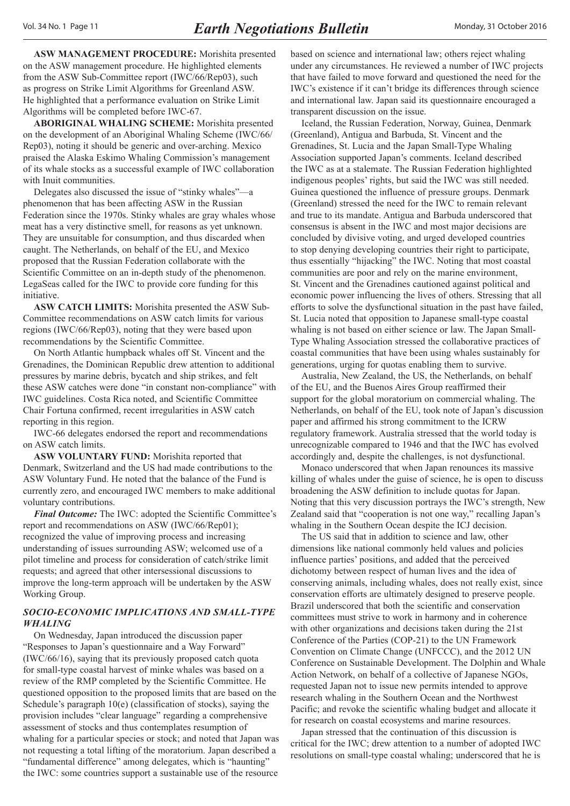**ASW MANAGEMENT PROCEDURE:** Morishita presented on the ASW management procedure. He highlighted elements from the ASW Sub-Committee report (IWC/66/Rep03), such as progress on Strike Limit Algorithms for Greenland ASW. He highlighted that a performance evaluation on Strike Limit Algorithms will be completed before IWC-67.

**ABORIGINAL WHALING SCHEME:** Morishita presented on the development of an Aboriginal Whaling Scheme (IWC/66/ Rep03), noting it should be generic and over-arching. Mexico praised the Alaska Eskimo Whaling Commission's management of its whale stocks as a successful example of IWC collaboration with Inuit communities.

Delegates also discussed the issue of "stinky whales"—a phenomenon that has been affecting ASW in the Russian Federation since the 1970s. Stinky whales are gray whales whose meat has a very distinctive smell, for reasons as yet unknown. They are unsuitable for consumption, and thus discarded when caught. The Netherlands, on behalf of the EU, and Mexico proposed that the Russian Federation collaborate with the Scientific Committee on an in-depth study of the phenomenon. LegaSeas called for the IWC to provide core funding for this initiative.

**ASW CATCH LIMITS:** Morishita presented the ASW Sub-Committee recommendations on ASW catch limits for various regions (IWC/66/Rep03), noting that they were based upon recommendations by the Scientific Committee.

On North Atlantic humpback whales off St. Vincent and the Grenadines, the Dominican Republic drew attention to additional pressures by marine debris, bycatch and ship strikes, and felt these ASW catches were done "in constant non-compliance" with IWC guidelines. Costa Rica noted, and Scientific Committee Chair Fortuna confirmed, recent irregularities in ASW catch reporting in this region.

IWC-66 delegates endorsed the report and recommendations on ASW catch limits.

**ASW VOLUNTARY FUND:** Morishita reported that Denmark, Switzerland and the US had made contributions to the ASW Voluntary Fund. He noted that the balance of the Fund is currently zero, and encouraged IWC members to make additional voluntary contributions.

*Final Outcome:* The IWC: adopted the Scientific Committee's report and recommendations on ASW (IWC/66/Rep01); recognized the value of improving process and increasing understanding of issues surrounding ASW; welcomed use of a pilot timeline and process for consideration of catch/strike limit requests; and agreed that other intersessional discussions to improve the long-term approach will be undertaken by the ASW Working Group.

# *SOCIO-ECONOMIC IMPLICATIONS AND SMALL-TYPE WHALING*

On Wednesday, Japan introduced the discussion paper "Responses to Japan's questionnaire and a Way Forward" (IWC/66/16), saying that its previously proposed catch quota for small-type coastal harvest of minke whales was based on a review of the RMP completed by the Scientific Committee. He questioned opposition to the proposed limits that are based on the Schedule's paragraph 10(e) (classification of stocks), saying the provision includes "clear language" regarding a comprehensive assessment of stocks and thus contemplates resumption of whaling for a particular species or stock; and noted that Japan was not requesting a total lifting of the moratorium. Japan described a "fundamental difference" among delegates, which is "haunting" the IWC: some countries support a sustainable use of the resource

based on science and international law; others reject whaling under any circumstances. He reviewed a number of IWC projects that have failed to move forward and questioned the need for the IWC's existence if it can't bridge its differences through science and international law. Japan said its questionnaire encouraged a transparent discussion on the issue.

Iceland, the Russian Federation, Norway, Guinea, Denmark (Greenland), Antigua and Barbuda, St. Vincent and the Grenadines, St. Lucia and the Japan Small-Type Whaling Association supported Japan's comments. Iceland described the IWC as at a stalemate. The Russian Federation highlighted indigenous peoples' rights, but said the IWC was still needed. Guinea questioned the influence of pressure groups. Denmark (Greenland) stressed the need for the IWC to remain relevant and true to its mandate. Antigua and Barbuda underscored that consensus is absent in the IWC and most major decisions are concluded by divisive voting, and urged developed countries to stop denying developing countries their right to participate, thus essentially "hijacking" the IWC. Noting that most coastal communities are poor and rely on the marine environment, St. Vincent and the Grenadines cautioned against political and economic power influencing the lives of others. Stressing that all efforts to solve the dysfunctional situation in the past have failed, St. Lucia noted that opposition to Japanese small-type coastal whaling is not based on either science or law. The Japan Small-Type Whaling Association stressed the collaborative practices of coastal communities that have been using whales sustainably for generations, urging for quotas enabling them to survive.

Australia, New Zealand, the US, the Netherlands, on behalf of the EU, and the Buenos Aires Group reaffirmed their support for the global moratorium on commercial whaling. The Netherlands, on behalf of the EU, took note of Japan's discussion paper and affirmed his strong commitment to the ICRW regulatory framework. Australia stressed that the world today is unrecognizable compared to 1946 and that the IWC has evolved accordingly and, despite the challenges, is not dysfunctional.

Monaco underscored that when Japan renounces its massive killing of whales under the guise of science, he is open to discuss broadening the ASW definition to include quotas for Japan. Noting that this very discussion portrays the IWC's strength, New Zealand said that "cooperation is not one way," recalling Japan's whaling in the Southern Ocean despite the ICJ decision.

The US said that in addition to science and law, other dimensions like national commonly held values and policies influence parties' positions, and added that the perceived dichotomy between respect of human lives and the idea of conserving animals, including whales, does not really exist, since conservation efforts are ultimately designed to preserve people. Brazil underscored that both the scientific and conservation committees must strive to work in harmony and in coherence with other organizations and decisions taken during the 21st Conference of the Parties (COP-21) to the UN Framework Convention on Climate Change (UNFCCC), and the 2012 UN Conference on Sustainable Development. The Dolphin and Whale Action Network, on behalf of a collective of Japanese NGOs, requested Japan not to issue new permits intended to approve research whaling in the Southern Ocean and the Northwest Pacific; and revoke the scientific whaling budget and allocate it for research on coastal ecosystems and marine resources.

Japan stressed that the continuation of this discussion is critical for the IWC; drew attention to a number of adopted IWC resolutions on small-type coastal whaling; underscored that he is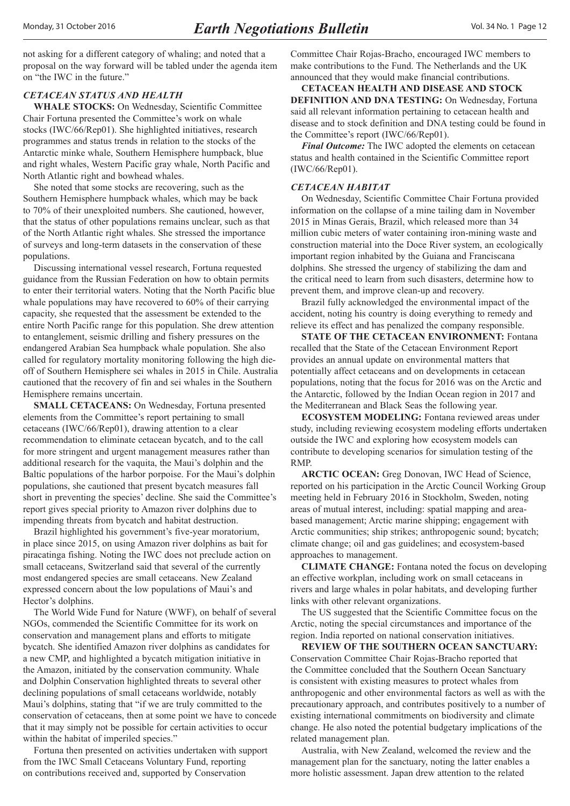<span id="page-11-0"></span>not asking for a different category of whaling; and noted that a proposal on the way forward will be tabled under the agenda item on "the IWC in the future."

# *CETACEAN STATUS AND HEALTH*

**WHALE STOCKS:** On Wednesday, Scientific Committee Chair Fortuna presented the Committee's work on whale stocks (IWC/66/Rep01). She highlighted initiatives, research programmes and status trends in relation to the stocks of the Antarctic minke whale, Southern Hemisphere humpback, blue and right whales, Western Pacific gray whale, North Pacific and North Atlantic right and bowhead whales.

She noted that some stocks are recovering, such as the Southern Hemisphere humpback whales, which may be back to 70% of their unexploited numbers. She cautioned, however, that the status of other populations remains unclear, such as that of the North Atlantic right whales. She stressed the importance of surveys and long-term datasets in the conservation of these populations.

Discussing international vessel research, Fortuna requested guidance from the Russian Federation on how to obtain permits to enter their territorial waters. Noting that the North Pacific blue whale populations may have recovered to 60% of their carrying capacity, she requested that the assessment be extended to the entire North Pacific range for this population. She drew attention to entanglement, seismic drilling and fishery pressures on the endangered Arabian Sea humpback whale population. She also called for regulatory mortality monitoring following the high dieoff of Southern Hemisphere sei whales in 2015 in Chile. Australia cautioned that the recovery of fin and sei whales in the Southern Hemisphere remains uncertain.

**SMALL CETACEANS:** On Wednesday, Fortuna presented elements from the Committee's report pertaining to small cetaceans (IWC/66/Rep01), drawing attention to a clear recommendation to eliminate cetacean bycatch, and to the call for more stringent and urgent management measures rather than additional research for the vaquita, the Maui's dolphin and the Baltic populations of the harbor porpoise. For the Maui's dolphin populations, she cautioned that present bycatch measures fall short in preventing the species' decline. She said the Committee's report gives special priority to Amazon river dolphins due to impending threats from bycatch and habitat destruction.

Brazil highlighted his government's five-year moratorium, in place since 2015, on using Amazon river dolphins as bait for piracatinga fishing. Noting the IWC does not preclude action on small cetaceans, Switzerland said that several of the currently most endangered species are small cetaceans. New Zealand expressed concern about the low populations of Maui's and Hector's dolphins.

The World Wide Fund for Nature (WWF), on behalf of several NGOs, commended the Scientific Committee for its work on conservation and management plans and efforts to mitigate bycatch. She identified Amazon river dolphins as candidates for a new CMP, and highlighted a bycatch mitigation initiative in the Amazon, initiated by the conservation community. Whale and Dolphin Conservation highlighted threats to several other declining populations of small cetaceans worldwide, notably Maui's dolphins, stating that "if we are truly committed to the conservation of cetaceans, then at some point we have to concede that it may simply not be possible for certain activities to occur within the habitat of imperiled species."

Fortuna then presented on activities undertaken with support from the IWC Small Cetaceans Voluntary Fund, reporting on contributions received and, supported by Conservation

Committee Chair Rojas-Bracho, encouraged IWC members to make contributions to the Fund. The Netherlands and the UK announced that they would make financial contributions.

**CETACEAN HEALTH AND DISEASE AND STOCK DEFINITION AND DNA TESTING:** On Wednesday, Fortuna said all relevant information pertaining to cetacean health and disease and to stock definition and DNA testing could be found in the Committee's report (IWC/66/Rep01).

*Final Outcome:* The IWC adopted the elements on cetacean status and health contained in the Scientific Committee report (IWC/66/Rep01).

# *CETACEAN HABITAT*

On Wednesday, Scientific Committee Chair Fortuna provided information on the collapse of a mine tailing dam in November 2015 in Minas Gerais, Brazil, which released more than 34 million cubic meters of water containing iron-mining waste and construction material into the Doce River system, an ecologically important region inhabited by the Guiana and Franciscana dolphins. She stressed the urgency of stabilizing the dam and the critical need to learn from such disasters, determine how to prevent them, and improve clean-up and recovery.

Brazil fully acknowledged the environmental impact of the accident, noting his country is doing everything to remedy and relieve its effect and has penalized the company responsible.

**STATE OF THE CETACEAN ENVIRONMENT:** Fontana recalled that the State of the Cetacean Environment Report provides an annual update on environmental matters that potentially affect cetaceans and on developments in cetacean populations, noting that the focus for 2016 was on the Arctic and the Antarctic, followed by the Indian Ocean region in 2017 and the Mediterranean and Black Seas the following year.

**ECOSYSTEM MODELING:** Fontana reviewed areas under study, including reviewing ecosystem modeling efforts undertaken outside the IWC and exploring how ecosystem models can contribute to developing scenarios for simulation testing of the RMP.

**ARCTIC OCEAN:** Greg Donovan, IWC Head of Science, reported on his participation in the Arctic Council Working Group meeting held in February 2016 in Stockholm, Sweden, noting areas of mutual interest, including: spatial mapping and areabased management; Arctic marine shipping; engagement with Arctic communities; ship strikes; anthropogenic sound; bycatch; climate change; oil and gas guidelines; and ecosystem-based approaches to management.

**CLIMATE CHANGE:** Fontana noted the focus on developing an effective workplan, including work on small cetaceans in rivers and large whales in polar habitats, and developing further links with other relevant organizations.

The US suggested that the Scientific Committee focus on the Arctic, noting the special circumstances and importance of the region. India reported on national conservation initiatives.

**REVIEW OF THE SOUTHERN OCEAN SANCTUARY:** Conservation Committee Chair Rojas-Bracho reported that the Committee concluded that the Southern Ocean Sanctuary is consistent with existing measures to protect whales from anthropogenic and other environmental factors as well as with the precautionary approach, and contributes positively to a number of existing international commitments on biodiversity and climate change. He also noted the potential budgetary implications of the related management plan.

Australia, with New Zealand, welcomed the review and the management plan for the sanctuary, noting the latter enables a more holistic assessment. Japan drew attention to the related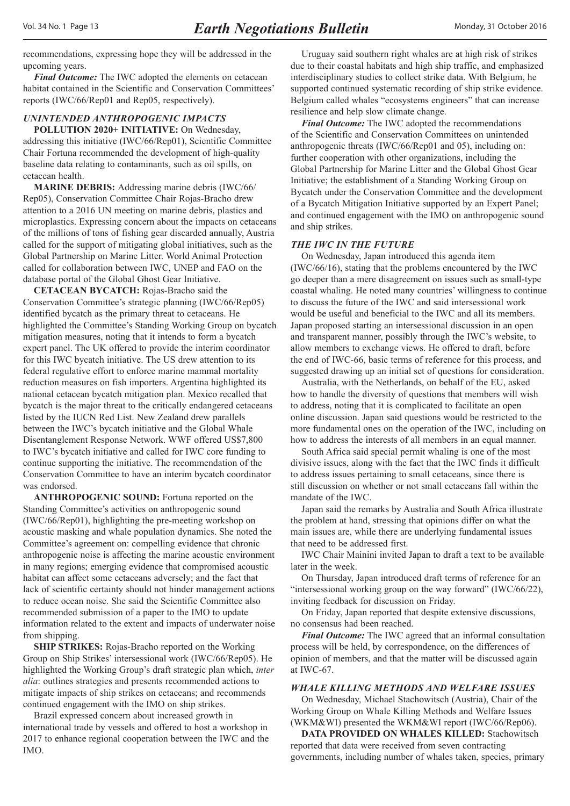<span id="page-12-0"></span>recommendations, expressing hope they will be addressed in the upcoming years.

*Final Outcome:* The IWC adopted the elements on cetacean habitat contained in the Scientific and Conservation Committees' reports (IWC/66/Rep01 and Rep05, respectively).

# *UNINTENDED ANTHROPOGENIC IMPACTS*

**POLLUTION 2020+ INITIATIVE:** On Wednesday, addressing this initiative (IWC/66/Rep01), Scientific Committee Chair Fortuna recommended the development of high-quality baseline data relating to contaminants, such as oil spills, on cetacean health.

**MARINE DEBRIS:** Addressing marine debris (IWC/66/ Rep05), Conservation Committee Chair Rojas-Bracho drew attention to a 2016 UN meeting on marine debris, plastics and microplastics. Expressing concern about the impacts on cetaceans of the millions of tons of fishing gear discarded annually, Austria called for the support of mitigating global initiatives, such as the Global Partnership on Marine Litter. World Animal Protection called for collaboration between IWC, UNEP and FAO on the database portal of the Global Ghost Gear Initiative.

**CETACEAN BYCATCH:** Rojas-Bracho said the Conservation Committee's strategic planning (IWC/66/Rep05) identified bycatch as the primary threat to cetaceans. He highlighted the Committee's Standing Working Group on bycatch mitigation measures, noting that it intends to form a bycatch expert panel. The UK offered to provide the interim coordinator for this IWC bycatch initiative. The US drew attention to its federal regulative effort to enforce marine mammal mortality reduction measures on fish importers. Argentina highlighted its national cetacean bycatch mitigation plan. Mexico recalled that bycatch is the major threat to the critically endangered cetaceans listed by the IUCN Red List. New Zealand drew parallels between the IWC's bycatch initiative and the Global Whale Disentanglement Response Network. WWF offered US\$7,800 to IWC's bycatch initiative and called for IWC core funding to continue supporting the initiative. The recommendation of the Conservation Committee to have an interim bycatch coordinator was endorsed.

**ANTHROPOGENIC SOUND:** Fortuna reported on the Standing Committee's activities on anthropogenic sound (IWC/66/Rep01), highlighting the pre-meeting workshop on acoustic masking and whale population dynamics. She noted the Committee's agreement on: compelling evidence that chronic anthropogenic noise is affecting the marine acoustic environment in many regions; emerging evidence that compromised acoustic habitat can affect some cetaceans adversely; and the fact that lack of scientific certainty should not hinder management actions to reduce ocean noise. She said the Scientific Committee also recommended submission of a paper to the IMO to update information related to the extent and impacts of underwater noise from shipping.

**SHIP STRIKES:** Rojas-Bracho reported on the Working Group on Ship Strikes' intersessional work (IWC/66/Rep05). He highlighted the Working Group's draft strategic plan which, *inter alia*: outlines strategies and presents recommended actions to mitigate impacts of ship strikes on cetaceans; and recommends continued engagement with the IMO on ship strikes.

Brazil expressed concern about increased growth in international trade by vessels and offered to host a workshop in 2017 to enhance regional cooperation between the IWC and the IMO.

Uruguay said southern right whales are at high risk of strikes due to their coastal habitats and high ship traffic, and emphasized interdisciplinary studies to collect strike data. With Belgium, he supported continued systematic recording of ship strike evidence. Belgium called whales "ecosystems engineers" that can increase resilience and help slow climate change.

*Final Outcome:* The IWC adopted the recommendations of the Scientific and Conservation Committees on unintended anthropogenic threats (IWC/66/Rep01 and 05), including on: further cooperation with other organizations, including the Global Partnership for Marine Litter and the Global Ghost Gear Initiative; the establishment of a Standing Working Group on Bycatch under the Conservation Committee and the development of a Bycatch Mitigation Initiative supported by an Expert Panel; and continued engagement with the IMO on anthropogenic sound and ship strikes.

#### *THE IWC IN THE FUTURE*

On Wednesday, Japan introduced this agenda item (IWC/66/16), stating that the problems encountered by the IWC go deeper than a mere disagreement on issues such as small-type coastal whaling. He noted many countries' willingness to continue to discuss the future of the IWC and said intersessional work would be useful and beneficial to the IWC and all its members. Japan proposed starting an intersessional discussion in an open and transparent manner, possibly through the IWC's website, to allow members to exchange views. He offered to draft, before the end of IWC-66, basic terms of reference for this process, and suggested drawing up an initial set of questions for consideration.

Australia, with the Netherlands, on behalf of the EU, asked how to handle the diversity of questions that members will wish to address, noting that it is complicated to facilitate an open online discussion. Japan said questions would be restricted to the more fundamental ones on the operation of the IWC, including on how to address the interests of all members in an equal manner.

South Africa said special permit whaling is one of the most divisive issues, along with the fact that the IWC finds it difficult to address issues pertaining to small cetaceans, since there is still discussion on whether or not small cetaceans fall within the mandate of the IWC.

Japan said the remarks by Australia and South Africa illustrate the problem at hand, stressing that opinions differ on what the main issues are, while there are underlying fundamental issues that need to be addressed first.

IWC Chair Mainini invited Japan to draft a text to be available later in the week.

On Thursday, Japan introduced draft terms of reference for an "intersessional working group on the way forward" (IWC/66/22), inviting feedback for discussion on Friday.

On Friday, Japan reported that despite extensive discussions, no consensus had been reached.

*Final Outcome:* The IWC agreed that an informal consultation process will be held, by correspondence, on the differences of opinion of members, and that the matter will be discussed again at IWC-67.

#### *WHALE KILLING METHODS AND WELFARE ISSUES*

On Wednesday, Michael Stachowitsch (Austria), Chair of the Working Group on Whale Killing Methods and Welfare Issues (WKM&WI) presented the WKM&WI report (IWC/66/Rep06).

**DATA PROVIDED ON WHALES KILLED:** Stachowitsch reported that data were received from seven contracting governments, including number of whales taken, species, primary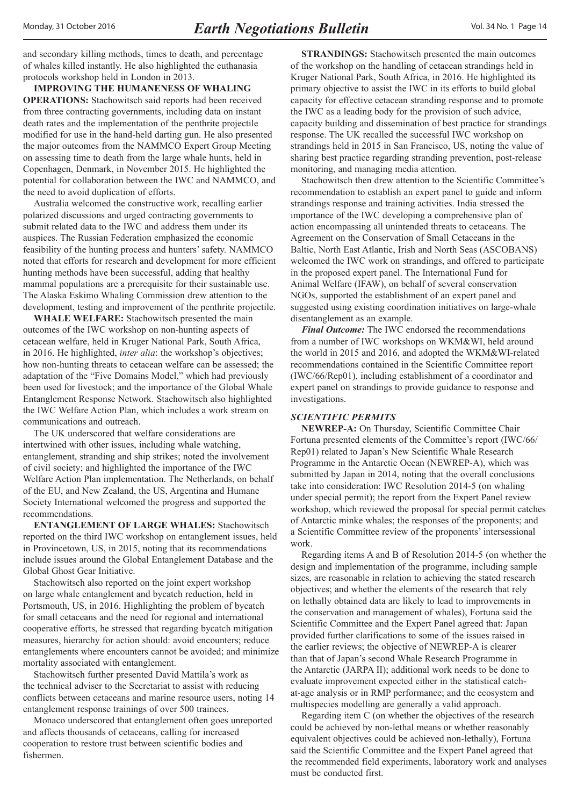<span id="page-13-0"></span>and secondary killing methods, times to death, and percentage of whales killed instantly. He also highlighted the euthanasia protocols workshop held in London in 2013.

**IMPROVING THE HUMANENESS OF WHALING OPERATIONS:** Stachowitsch said reports had been received from three contracting governments, including data on instant death rates and the implementation of the penthrite projectile modified for use in the hand-held darting gun. He also presented the major outcomes from the NAMMCO Expert Group Meeting on assessing time to death from the large whale hunts, held in Copenhagen, Denmark, in November 2015. He highlighted the potential for collaboration between the IWC and NAMMCO, and the need to avoid duplication of efforts.

Australia welcomed the constructive work, recalling earlier polarized discussions and urged contracting governments to submit related data to the IWC and address them under its auspices. The Russian Federation emphasized the economic feasibility of the hunting process and hunters' safety. NAMMCO noted that efforts for research and development for more efficient hunting methods have been successful, adding that healthy mammal populations are a prerequisite for their sustainable use. The Alaska Eskimo Whaling Commission drew attention to the development, testing and improvement of the penthrite projectile.

**WHALE WELFARE:** Stachowitsch presented the main outcomes of the IWC workshop on non-hunting aspects of cetacean welfare, held in Kruger National Park, South Africa, in 2016. He highlighted, *inter alia*: the workshop's objectives; how non-hunting threats to cetacean welfare can be assessed; the adaptation of the "Five Domains Model," which had previously been used for livestock; and the importance of the Global Whale Entanglement Response Network. Stachowitsch also highlighted the IWC Welfare Action Plan, which includes a work stream on communications and outreach.

The UK underscored that welfare considerations are intertwined with other issues, including whale watching, entanglement, stranding and ship strikes; noted the involvement of civil society; and highlighted the importance of the IWC Welfare Action Plan implementation. The Netherlands, on behalf of the EU, and New Zealand, the US, Argentina and Humane Society International welcomed the progress and supported the recommendations.

**ENTANGLEMENT OF LARGE WHALES:** Stachowitsch reported on the third IWC workshop on entanglement issues, held in Provincetown, US, in 2015, noting that its recommendations include issues around the Global Entanglement Database and the Global Ghost Gear Initiative.

Stachowitsch also reported on the joint expert workshop on large whale entanglement and bycatch reduction, held in Portsmouth, US, in 2016. Highlighting the problem of bycatch for small cetaceans and the need for regional and international cooperative efforts, he stressed that regarding bycatch mitigation measures, hierarchy for action should: avoid encounters; reduce entanglements where encounters cannot be avoided; and minimize mortality associated with entanglement.

Stachowitsch further presented David Mattila's work as the technical adviser to the Secretariat to assist with reducing conflicts between cetaceans and marine resource users, noting 14 entanglement response trainings of over 500 trainees.

Monaco underscored that entanglement often goes unreported and affects thousands of cetaceans, calling for increased cooperation to restore trust between scientific bodies and fishermen.

**STRANDINGS:** Stachowitsch presented the main outcomes of the workshop on the handling of cetacean strandings held in Kruger National Park, South Africa, in 2016. He highlighted its primary objective to assist the IWC in its efforts to build global capacity for effective cetacean stranding response and to promote the IWC as a leading body for the provision of such advice, capacity building and dissemination of best practice for strandings response. The UK recalled the successful IWC workshop on strandings held in 2015 in San Francisco, US, noting the value of sharing best practice regarding stranding prevention, post-release monitoring, and managing media attention.

Stachowitsch then drew attention to the Scientific Committee's recommendation to establish an expert panel to guide and inform strandings response and training activities. India stressed the importance of the IWC developing a comprehensive plan of action encompassing all unintended threats to cetaceans. The Agreement on the Conservation of Small Cetaceans in the Baltic, North East Atlantic, Irish and North Seas (ASCOBANS) welcomed the IWC work on strandings, and offered to participate in the proposed expert panel. The International Fund for Animal Welfare (IFAW), on behalf of several conservation NGOs, supported the establishment of an expert panel and suggested using existing coordination initiatives on large-whale disentanglement as an example.

*Final Outcome:* The IWC endorsed the recommendations from a number of IWC workshops on WKM&WI, held around the world in 2015 and 2016, and adopted the WKM&WI-related recommendations contained in the Scientific Committee report (IWC/66/Rep01), including establishment of a coordinator and expert panel on strandings to provide guidance to response and investigations.

# *SCIENTIFIC PERMITS*

**NEWREP-A:** On Thursday, Scientific Committee Chair Fortuna presented elements of the Committee's report (IWC/66/ Rep01) related to Japan's New Scientific Whale Research Programme in the Antarctic Ocean (NEWREP-A), which was submitted by Japan in 2014, noting that the overall conclusions take into consideration: IWC Resolution 2014-5 (on whaling under special permit); the report from the Expert Panel review workshop, which reviewed the proposal for special permit catches of Antarctic minke whales; the responses of the proponents; and a Scientific Committee review of the proponents' intersessional work.

Regarding items A and B of Resolution 2014-5 (on whether the design and implementation of the programme, including sample sizes, are reasonable in relation to achieving the stated research objectives; and whether the elements of the research that rely on lethally obtained data are likely to lead to improvements in the conservation and management of whales), Fortuna said the Scientific Committee and the Expert Panel agreed that: Japan provided further clarifications to some of the issues raised in the earlier reviews; the objective of NEWREP-A is clearer than that of Japan's second Whale Research Programme in the Antarctic (JARPA II); additional work needs to be done to evaluate improvement expected either in the statistical catchat-age analysis or in RMP performance; and the ecosystem and multispecies modelling are generally a valid approach.

Regarding item C (on whether the objectives of the research could be achieved by non-lethal means or whether reasonably equivalent objectives could be achieved non-lethally), Fortuna said the Scientific Committee and the Expert Panel agreed that the recommended field experiments, laboratory work and analyses must be conducted first.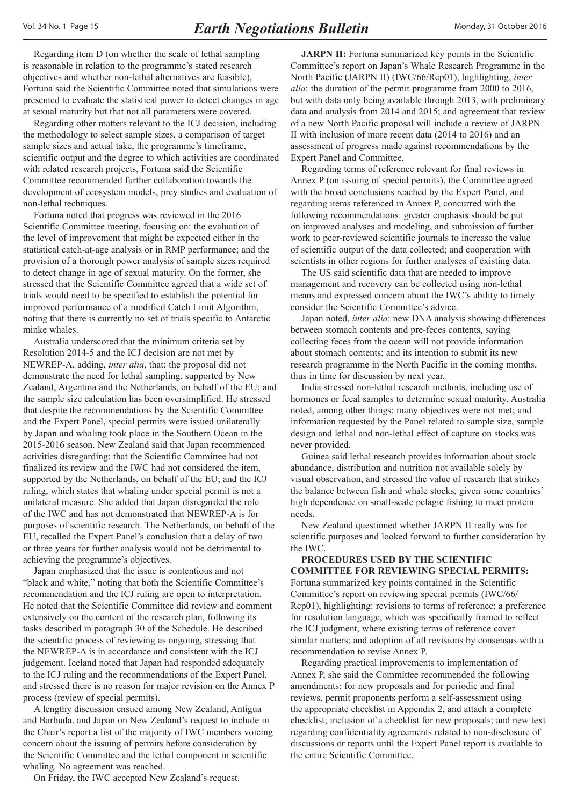Regarding item D (on whether the scale of lethal sampling is reasonable in relation to the programme's stated research objectives and whether non-lethal alternatives are feasible), Fortuna said the Scientific Committee noted that simulations were presented to evaluate the statistical power to detect changes in age at sexual maturity but that not all parameters were covered.

Regarding other matters relevant to the ICJ decision, including the methodology to select sample sizes, a comparison of target sample sizes and actual take, the programme's timeframe, scientific output and the degree to which activities are coordinated with related research projects, Fortuna said the Scientific Committee recommended further collaboration towards the development of ecosystem models, prey studies and evaluation of non-lethal techniques.

Fortuna noted that progress was reviewed in the 2016 Scientific Committee meeting, focusing on: the evaluation of the level of improvement that might be expected either in the statistical catch-at-age analysis or in RMP performance; and the provision of a thorough power analysis of sample sizes required to detect change in age of sexual maturity. On the former, she stressed that the Scientific Committee agreed that a wide set of trials would need to be specified to establish the potential for improved performance of a modified Catch Limit Algorithm, noting that there is currently no set of trials specific to Antarctic minke whales.

Australia underscored that the minimum criteria set by Resolution 2014-5 and the ICJ decision are not met by NEWREP-A, adding, *inter alia*, that: the proposal did not demonstrate the need for lethal sampling, supported by New Zealand, Argentina and the Netherlands, on behalf of the EU; and the sample size calculation has been oversimplified. He stressed that despite the recommendations by the Scientific Committee and the Expert Panel, special permits were issued unilaterally by Japan and whaling took place in the Southern Ocean in the 2015-2016 season. New Zealand said that Japan recommenced activities disregarding: that the Scientific Committee had not finalized its review and the IWC had not considered the item, supported by the Netherlands, on behalf of the EU; and the ICJ ruling, which states that whaling under special permit is not a unilateral measure. She added that Japan disregarded the role of the IWC and has not demonstrated that NEWREP-A is for purposes of scientific research. The Netherlands, on behalf of the EU, recalled the Expert Panel's conclusion that a delay of two or three years for further analysis would not be detrimental to achieving the programme's objectives.

Japan emphasized that the issue is contentious and not "black and white," noting that both the Scientific Committee's recommendation and the ICJ ruling are open to interpretation. He noted that the Scientific Committee did review and comment extensively on the content of the research plan, following its tasks described in paragraph 30 of the Schedule. He described the scientific process of reviewing as ongoing, stressing that the NEWREP-A is in accordance and consistent with the ICJ judgement. Iceland noted that Japan had responded adequately to the ICJ ruling and the recommendations of the Expert Panel, and stressed there is no reason for major revision on the Annex P process (review of special permits).

A lengthy discussion ensued among New Zealand, Antigua and Barbuda, and Japan on New Zealand's request to include in the Chair's report a list of the majority of IWC members voicing concern about the issuing of permits before consideration by the Scientific Committee and the lethal component in scientific whaling. No agreement was reached.

On Friday, the IWC accepted New Zealand's request.

**JARPN II:** Fortuna summarized key points in the Scientific Committee's report on Japan's Whale Research Programme in the North Pacific (JARPN II) (IWC/66/Rep01), highlighting, *inter alia*: the duration of the permit programme from 2000 to 2016, but with data only being available through 2013, with preliminary data and analysis from 2014 and 2015; and agreement that review of a new North Pacific proposal will include a review of JARPN II with inclusion of more recent data (2014 to 2016) and an assessment of progress made against recommendations by the Expert Panel and Committee.

Regarding terms of reference relevant for final reviews in Annex P (on issuing of special permits), the Committee agreed with the broad conclusions reached by the Expert Panel, and regarding items referenced in Annex P, concurred with the following recommendations: greater emphasis should be put on improved analyses and modeling, and submission of further work to peer-reviewed scientific journals to increase the value of scientific output of the data collected; and cooperation with scientists in other regions for further analyses of existing data.

The US said scientific data that are needed to improve management and recovery can be collected using non-lethal means and expressed concern about the IWC's ability to timely consider the Scientific Committee's advice.

Japan noted, *inter alia*: new DNA analysis showing differences between stomach contents and pre-feces contents, saying collecting feces from the ocean will not provide information about stomach contents; and its intention to submit its new research programme in the North Pacific in the coming months, thus in time for discussion by next year.

India stressed non-lethal research methods, including use of hormones or fecal samples to determine sexual maturity. Australia noted, among other things: many objectives were not met; and information requested by the Panel related to sample size, sample design and lethal and non-lethal effect of capture on stocks was never provided.

Guinea said lethal research provides information about stock abundance, distribution and nutrition not available solely by visual observation, and stressed the value of research that strikes the balance between fish and whale stocks, given some countries' high dependence on small-scale pelagic fishing to meet protein needs.

New Zealand questioned whether JARPN II really was for scientific purposes and looked forward to further consideration by the IWC.

**PROCEDURES USED BY THE SCIENTIFIC COMMITTEE FOR REVIEWING SPECIAL PERMITS:** Fortuna summarized key points contained in the Scientific Committee's report on reviewing special permits (IWC/66/ Rep01), highlighting: revisions to terms of reference; a preference for resolution language, which was specifically framed to reflect the ICJ judgment, where existing terms of reference cover similar matters; and adoption of all revisions by consensus with a recommendation to revise Annex P.

Regarding practical improvements to implementation of Annex P, she said the Committee recommended the following amendments: for new proposals and for periodic and final reviews, permit proponents perform a self-assessment using the appropriate checklist in Appendix 2, and attach a complete checklist; inclusion of a checklist for new proposals; and new text regarding confidentiality agreements related to non-disclosure of discussions or reports until the Expert Panel report is available to the entire Scientific Committee.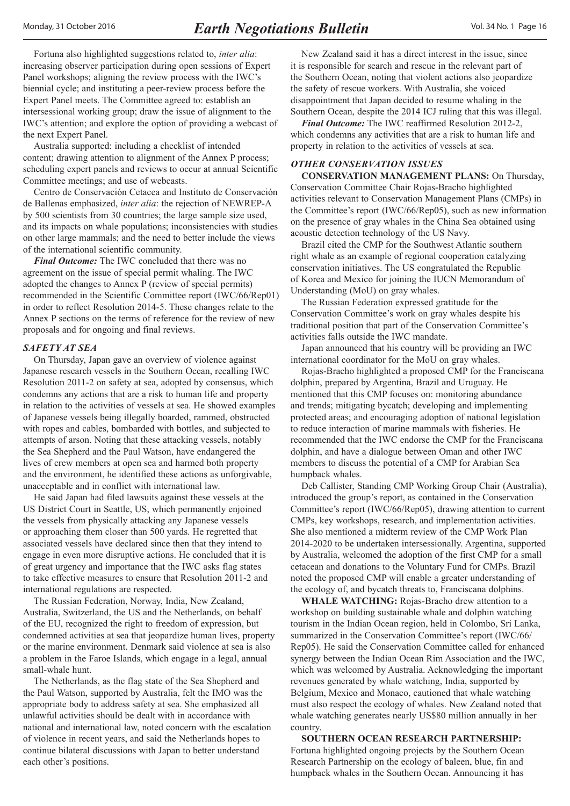<span id="page-15-0"></span>Fortuna also highlighted suggestions related to, *inter alia*: increasing observer participation during open sessions of Expert Panel workshops; aligning the review process with the IWC's biennial cycle; and instituting a peer-review process before the Expert Panel meets. The Committee agreed to: establish an intersessional working group; draw the issue of alignment to the IWC's attention; and explore the option of providing a webcast of the next Expert Panel.

Australia supported: including a checklist of intended content; drawing attention to alignment of the Annex P process; scheduling expert panels and reviews to occur at annual Scientific Committee meetings; and use of webcasts.

Centro de Conservación Cetacea and Instituto de Conservación de Ballenas emphasized, *inter alia*: the rejection of NEWREP-A by 500 scientists from 30 countries; the large sample size used, and its impacts on whale populations; inconsistencies with studies on other large mammals; and the need to better include the views of the international scientific community.

*Final Outcome:* The IWC concluded that there was no agreement on the issue of special permit whaling. The IWC adopted the changes to Annex P (review of special permits) recommended in the Scientific Committee report (IWC/66/Rep01) in order to reflect Resolution 2014-5. These changes relate to the Annex P sections on the terms of reference for the review of new proposals and for ongoing and final reviews.

#### *SAFETY AT SEA*

On Thursday, Japan gave an overview of violence against Japanese research vessels in the Southern Ocean, recalling IWC Resolution 2011-2 on safety at sea, adopted by consensus, which condemns any actions that are a risk to human life and property in relation to the activities of vessels at sea. He showed examples of Japanese vessels being illegally boarded, rammed, obstructed with ropes and cables, bombarded with bottles, and subjected to attempts of arson. Noting that these attacking vessels, notably the Sea Shepherd and the Paul Watson, have endangered the lives of crew members at open sea and harmed both property and the environment, he identified these actions as unforgivable, unacceptable and in conflict with international law.

He said Japan had filed lawsuits against these vessels at the US District Court in Seattle, US, which permanently enjoined the vessels from physically attacking any Japanese vessels or approaching them closer than 500 yards. He regretted that associated vessels have declared since then that they intend to engage in even more disruptive actions. He concluded that it is of great urgency and importance that the IWC asks flag states to take effective measures to ensure that Resolution 2011-2 and international regulations are respected.

The Russian Federation, Norway, India, New Zealand, Australia, Switzerland, the US and the Netherlands, on behalf of the EU, recognized the right to freedom of expression, but condemned activities at sea that jeopardize human lives, property or the marine environment. Denmark said violence at sea is also a problem in the Faroe Islands, which engage in a legal, annual small-whale hunt.

The Netherlands, as the flag state of the Sea Shepherd and the Paul Watson, supported by Australia, felt the IMO was the appropriate body to address safety at sea. She emphasized all unlawful activities should be dealt with in accordance with national and international law, noted concern with the escalation of violence in recent years, and said the Netherlands hopes to continue bilateral discussions with Japan to better understand each other's positions.

New Zealand said it has a direct interest in the issue, since it is responsible for search and rescue in the relevant part of the Southern Ocean, noting that violent actions also jeopardize the safety of rescue workers. With Australia, she voiced disappointment that Japan decided to resume whaling in the Southern Ocean, despite the 2014 ICJ ruling that this was illegal.

*Final Outcome:* The IWC reaffirmed Resolution 2012-2, which condemns any activities that are a risk to human life and property in relation to the activities of vessels at sea.

# *OTHER CONSERVATION ISSUES*

**CONSERVATION MANAGEMENT PLANS:** On Thursday, Conservation Committee Chair Rojas-Bracho highlighted activities relevant to Conservation Management Plans (CMPs) in the Committee's report (IWC/66/Rep05), such as new information on the presence of gray whales in the China Sea obtained using acoustic detection technology of the US Navy.

Brazil cited the CMP for the Southwest Atlantic southern right whale as an example of regional cooperation catalyzing conservation initiatives. The US congratulated the Republic of Korea and Mexico for joining the IUCN Memorandum of Understanding (MoU) on gray whales.

The Russian Federation expressed gratitude for the Conservation Committee's work on gray whales despite his traditional position that part of the Conservation Committee's activities falls outside the IWC mandate.

Japan announced that his country will be providing an IWC international coordinator for the MoU on gray whales.

Rojas-Bracho highlighted a proposed CMP for the Franciscana dolphin, prepared by Argentina, Brazil and Uruguay. He mentioned that this CMP focuses on: monitoring abundance and trends; mitigating bycatch; developing and implementing protected areas; and encouraging adoption of national legislation to reduce interaction of marine mammals with fisheries. He recommended that the IWC endorse the CMP for the Franciscana dolphin, and have a dialogue between Oman and other IWC members to discuss the potential of a CMP for Arabian Sea humpback whales.

Deb Callister, Standing CMP Working Group Chair (Australia), introduced the group's report, as contained in the Conservation Committee's report (IWC/66/Rep05), drawing attention to current CMPs, key workshops, research, and implementation activities. She also mentioned a midterm review of the CMP Work Plan 2014-2020 to be undertaken intersessionally. Argentina, supported by Australia, welcomed the adoption of the first CMP for a small cetacean and donations to the Voluntary Fund for CMPs. Brazil noted the proposed CMP will enable a greater understanding of the ecology of, and bycatch threats to, Franciscana dolphins.

**WHALE WATCHING:** Rojas-Bracho drew attention to a workshop on building sustainable whale and dolphin watching tourism in the Indian Ocean region, held in Colombo, Sri Lanka, summarized in the Conservation Committee's report (IWC/66/ Rep05). He said the Conservation Committee called for enhanced synergy between the Indian Ocean Rim Association and the IWC, which was welcomed by Australia. Acknowledging the important revenues generated by whale watching, India, supported by Belgium, Mexico and Monaco, cautioned that whale watching must also respect the ecology of whales. New Zealand noted that whale watching generates nearly US\$80 million annually in her country.

**SOUTHERN OCEAN RESEARCH PARTNERSHIP:**  Fortuna highlighted ongoing projects by the Southern Ocean Research Partnership on the ecology of baleen, blue, fin and humpback whales in the Southern Ocean. Announcing it has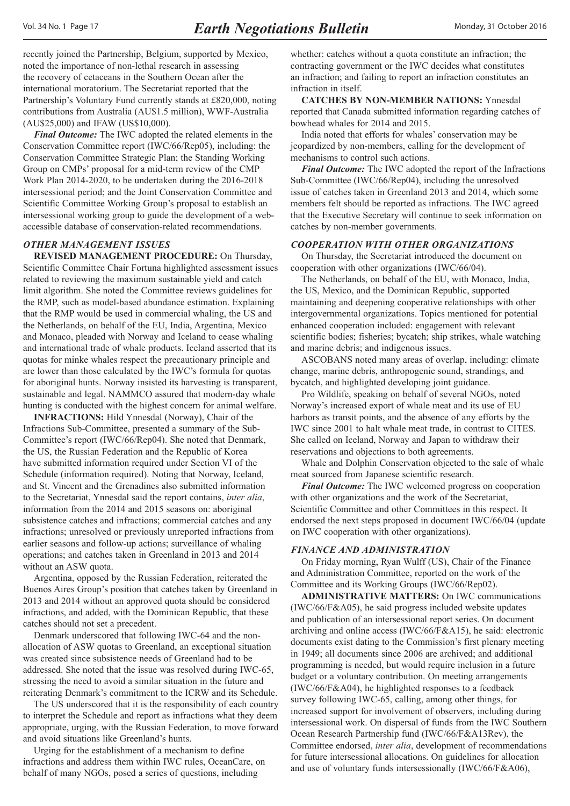<span id="page-16-0"></span>recently joined the Partnership, Belgium, supported by Mexico, noted the importance of non-lethal research in assessing the recovery of cetaceans in the Southern Ocean after the international moratorium. The Secretariat reported that the Partnership's Voluntary Fund currently stands at £820,000, noting contributions from Australia (AU\$1.5 million), WWF-Australia (AU\$25,000) and IFAW (US\$10,000).

*Final Outcome:* The IWC adopted the related elements in the Conservation Committee report (IWC/66/Rep05), including: the Conservation Committee Strategic Plan; the Standing Working Group on CMPs' proposal for a mid-term review of the CMP Work Plan 2014-2020, to be undertaken during the 2016-2018 intersessional period; and the Joint Conservation Committee and Scientific Committee Working Group's proposal to establish an intersessional working group to guide the development of a webaccessible database of conservation-related recommendations.

# *OTHER MANAGEMENT ISSUES*

**REVISED MANAGEMENT PROCEDURE:** On Thursday, Scientific Committee Chair Fortuna highlighted assessment issues related to reviewing the maximum sustainable yield and catch limit algorithm. She noted the Committee reviews guidelines for the RMP, such as model-based abundance estimation. Explaining that the RMP would be used in commercial whaling, the US and the Netherlands, on behalf of the EU, India, Argentina, Mexico and Monaco, pleaded with Norway and Iceland to cease whaling and international trade of whale products. Iceland asserted that its quotas for minke whales respect the precautionary principle and are lower than those calculated by the IWC's formula for quotas for aboriginal hunts. Norway insisted its harvesting is transparent, sustainable and legal. NAMMCO assured that modern-day whale hunting is conducted with the highest concern for animal welfare.

**INFRACTIONS:** Hild Ynnesdal (Norway), Chair of the Infractions Sub-Committee, presented a summary of the Sub-Committee's report (IWC/66/Rep04). She noted that Denmark, the US, the Russian Federation and the Republic of Korea have submitted information required under Section VI of the Schedule (information required). Noting that Norway, Iceland, and St. Vincent and the Grenadines also submitted information to the Secretariat, Ynnesdal said the report contains, *inter alia*, information from the 2014 and 2015 seasons on: aboriginal subsistence catches and infractions; commercial catches and any infractions; unresolved or previously unreported infractions from earlier seasons and follow-up actions; surveillance of whaling operations; and catches taken in Greenland in 2013 and 2014 without an ASW quota.

Argentina, opposed by the Russian Federation, reiterated the Buenos Aires Group's position that catches taken by Greenland in 2013 and 2014 without an approved quota should be considered infractions, and added, with the Dominican Republic, that these catches should not set a precedent.

Denmark underscored that following IWC-64 and the nonallocation of ASW quotas to Greenland, an exceptional situation was created since subsistence needs of Greenland had to be addressed. She noted that the issue was resolved during IWC-65, stressing the need to avoid a similar situation in the future and reiterating Denmark's commitment to the ICRW and its Schedule.

The US underscored that it is the responsibility of each country to interpret the Schedule and report as infractions what they deem appropriate, urging, with the Russian Federation, to move forward and avoid situations like Greenland's hunts.

Urging for the establishment of a mechanism to define infractions and address them within IWC rules, OceanCare, on behalf of many NGOs, posed a series of questions, including

whether: catches without a quota constitute an infraction; the contracting government or the IWC decides what constitutes an infraction; and failing to report an infraction constitutes an infraction in itself.

**CATCHES BY NON-MEMBER NATIONS:** Ynnesdal reported that Canada submitted information regarding catches of bowhead whales for 2014 and 2015.

India noted that efforts for whales' conservation may be jeopardized by non-members, calling for the development of mechanisms to control such actions.

*Final Outcome:* The IWC adopted the report of the Infractions Sub-Committee (IWC/66/Rep04), including the unresolved issue of catches taken in Greenland 2013 and 2014, which some members felt should be reported as infractions. The IWC agreed that the Executive Secretary will continue to seek information on catches by non-member governments.

#### *COOPERATION WITH OTHER ORGANIZATIONS*

On Thursday, the Secretariat introduced the document on cooperation with other organizations (IWC/66/04).

The Netherlands, on behalf of the EU, with Monaco, India, the US, Mexico, and the Dominican Republic, supported maintaining and deepening cooperative relationships with other intergovernmental organizations. Topics mentioned for potential enhanced cooperation included: engagement with relevant scientific bodies; fisheries; bycatch; ship strikes, whale watching and marine debris; and indigenous issues.

ASCOBANS noted many areas of overlap, including: climate change, marine debris, anthropogenic sound, strandings, and bycatch, and highlighted developing joint guidance.

Pro Wildlife, speaking on behalf of several NGOs, noted Norway's increased export of whale meat and its use of EU harbors as transit points, and the absence of any efforts by the IWC since 2001 to halt whale meat trade, in contrast to CITES. She called on Iceland, Norway and Japan to withdraw their reservations and objections to both agreements.

Whale and Dolphin Conservation objected to the sale of whale meat sourced from Japanese scientific research.

*Final Outcome:* The IWC welcomed progress on cooperation with other organizations and the work of the Secretariat, Scientific Committee and other Committees in this respect. It endorsed the next steps proposed in document IWC/66/04 (update on IWC cooperation with other organizations).

#### *FINANCE AND ADMINISTRATION*

On Friday morning, Ryan Wulff (US), Chair of the Finance and Administration Committee, reported on the work of the Committee and its Working Groups (IWC/66/Rep02).

**ADMINISTRATIVE MATTERS:** On IWC communications (IWC/66/F&A05), he said progress included website updates and publication of an intersessional report series. On document archiving and online access (IWC/66/F&A15), he said: electronic documents exist dating to the Commission's first plenary meeting in 1949; all documents since 2006 are archived; and additional programming is needed, but would require inclusion in a future budget or a voluntary contribution. On meeting arrangements (IWC/66/F&A04), he highlighted responses to a feedback survey following IWC-65, calling, among other things, for increased support for involvement of observers, including during intersessional work. On dispersal of funds from the IWC Southern Ocean Research Partnership fund (IWC/66/F&A13Rev), the Committee endorsed, *inter alia*, development of recommendations for future intersessional allocations. On guidelines for allocation and use of voluntary funds intersessionally (IWC/66/F&A06),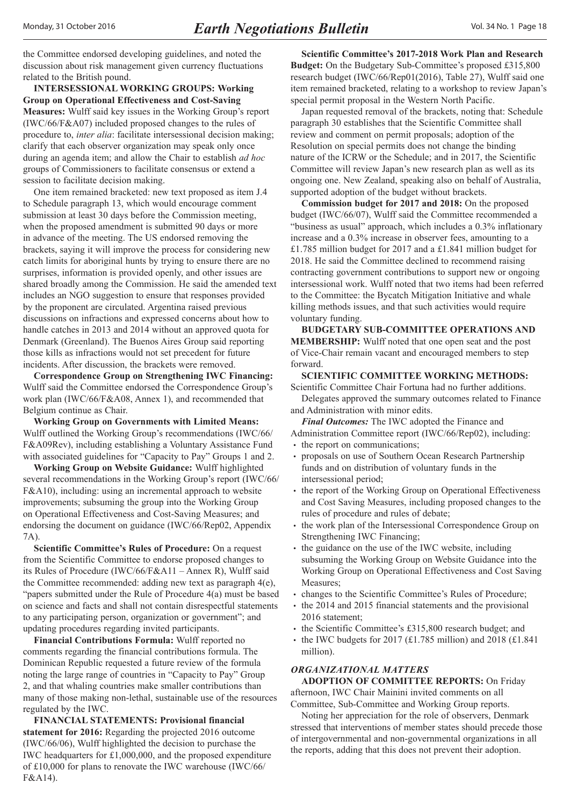the Committee endorsed developing guidelines, and noted the discussion about risk management given currency fluctuations related to the British pound.

**INTERSESSIONAL WORKING GROUPS: Working Group on Operational Effectiveness and Cost-Saving Measures:** Wulff said key issues in the Working Group's report (IWC/66/F&A07) included proposed changes to the rules of procedure to, *inter alia*: facilitate intersessional decision making; clarify that each observer organization may speak only once during an agenda item; and allow the Chair to establish *ad hoc* groups of Commissioners to facilitate consensus or extend a session to facilitate decision making.

One item remained bracketed: new text proposed as item J.4 to Schedule paragraph 13, which would encourage comment submission at least 30 days before the Commission meeting, when the proposed amendment is submitted 90 days or more in advance of the meeting. The US endorsed removing the brackets, saying it will improve the process for considering new catch limits for aboriginal hunts by trying to ensure there are no surprises, information is provided openly, and other issues are shared broadly among the Commission. He said the amended text includes an NGO suggestion to ensure that responses provided by the proponent are circulated. Argentina raised previous discussions on infractions and expressed concerns about how to handle catches in 2013 and 2014 without an approved quota for Denmark (Greenland). The Buenos Aires Group said reporting those kills as infractions would not set precedent for future incidents. After discussion, the brackets were removed.

**Correspondence Group on Strengthening IWC Financing:**  Wulff said the Committee endorsed the Correspondence Group's work plan (IWC/66/F&A08, Annex 1), and recommended that Belgium continue as Chair.

**Working Group on Governments with Limited Means:** Wulff outlined the Working Group's recommendations (IWC/66/ F&A09Rev), including establishing a Voluntary Assistance Fund with associated guidelines for "Capacity to Pay" Groups 1 and 2.

**Working Group on Website Guidance:** Wulff highlighted several recommendations in the Working Group's report (IWC/66/ F&A10), including: using an incremental approach to website improvements; subsuming the group into the Working Group on Operational Effectiveness and Cost-Saving Measures; and endorsing the document on guidance (IWC/66/Rep02, Appendix 7A).

**Scientific Committee's Rules of Procedure:** On a request from the Scientific Committee to endorse proposed changes to its Rules of Procedure (IWC/66/F&A11 – Annex R), Wulff said the Committee recommended: adding new text as paragraph 4(e), "papers submitted under the Rule of Procedure 4(a) must be based on science and facts and shall not contain disrespectful statements to any participating person, organization or government"; and updating procedures regarding invited participants.

**Financial Contributions Formula:** Wulff reported no comments regarding the financial contributions formula. The Dominican Republic requested a future review of the formula noting the large range of countries in "Capacity to Pay" Group 2, and that whaling countries make smaller contributions than many of those making non-lethal, sustainable use of the resources regulated by the IWC.

**FINANCIAL STATEMENTS: Provisional financial statement for 2016:** Regarding the projected 2016 outcome (IWC/66/06), Wulff highlighted the decision to purchase the IWC headquarters for £1,000,000, and the proposed expenditure of £10,000 for plans to renovate the IWC warehouse (IWC/66/ F&A14).

**Scientific Committee's 2017-2018 Work Plan and Research Budget:** On the Budgetary Sub-Committee's proposed £315,800 research budget (IWC/66/Rep01(2016), Table 27), Wulff said one item remained bracketed, relating to a workshop to review Japan's special permit proposal in the Western North Pacific.

Japan requested removal of the brackets, noting that: Schedule paragraph 30 establishes that the Scientific Committee shall review and comment on permit proposals; adoption of the Resolution on special permits does not change the binding nature of the ICRW or the Schedule; and in 2017, the Scientific Committee will review Japan's new research plan as well as its ongoing one. New Zealand, speaking also on behalf of Australia, supported adoption of the budget without brackets.

**Commission budget for 2017 and 2018:** On the proposed budget (IWC/66/07), Wulff said the Committee recommended a "business as usual" approach, which includes a 0.3% inflationary increase and a 0.3% increase in observer fees, amounting to a £1.785 million budget for 2017 and a £1.841 million budget for 2018. He said the Committee declined to recommend raising contracting government contributions to support new or ongoing intersessional work. Wulff noted that two items had been referred to the Committee: the Bycatch Mitigation Initiative and whale killing methods issues, and that such activities would require voluntary funding.

**BUDGETARY SUB-COMMITTEE OPERATIONS AND MEMBERSHIP:** Wulff noted that one open seat and the post of Vice-Chair remain vacant and encouraged members to step forward.

**SCIENTIFIC COMMITTEE WORKING METHODS:** 

Scientific Committee Chair Fortuna had no further additions. Delegates approved the summary outcomes related to Finance and Administration with minor edits.

*Final Outcomes:* The IWC adopted the Finance and Administration Committee report (IWC/66/Rep02), including:

- the report on communications;
- proposals on use of Southern Ocean Research Partnership funds and on distribution of voluntary funds in the intersessional period;
- the report of the Working Group on Operational Effectiveness and Cost Saving Measures, including proposed changes to the rules of procedure and rules of debate;
- the work plan of the Intersessional Correspondence Group on Strengthening IWC Financing;
- the guidance on the use of the IWC website, including subsuming the Working Group on Website Guidance into the Working Group on Operational Effectiveness and Cost Saving Measures;
- changes to the Scientific Committee's Rules of Procedure;
- the 2014 and 2015 financial statements and the provisional 2016 statement;
- the Scientific Committee's £315,800 research budget; and
- the IWC budgets for 2017 (£1.785 million) and 2018 (£1.841) million).

# *ORGANIZATIONAL MATTERS*

**ADOPTION OF COMMITTEE REPORTS:** On Friday afternoon, IWC Chair Mainini invited comments on all Committee, Sub-Committee and Working Group reports.

Noting her appreciation for the role of observers, Denmark stressed that interventions of member states should precede those of intergovernmental and non-governmental organizations in all the reports, adding that this does not prevent their adoption.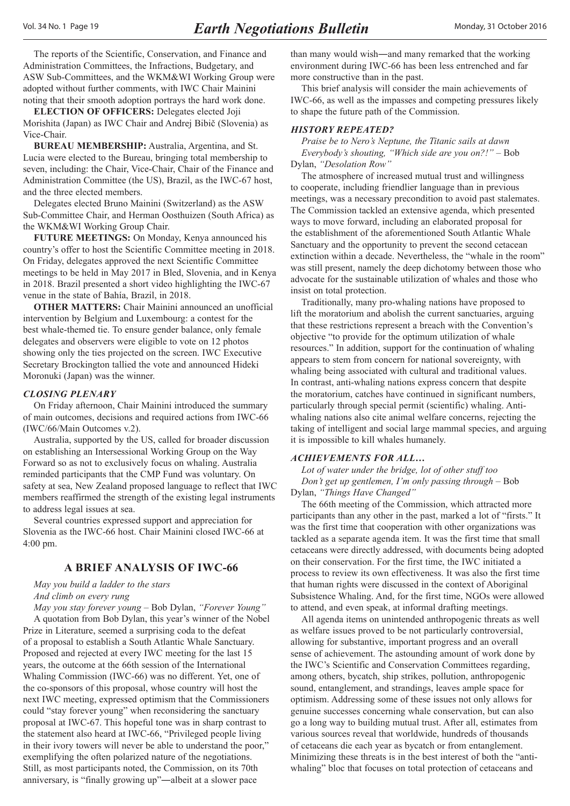<span id="page-18-0"></span>The reports of the Scientific, Conservation, and Finance and Administration Committees, the Infractions, Budgetary, and ASW Sub-Committees, and the WKM&WI Working Group were adopted without further comments, with IWC Chair Mainini noting that their smooth adoption portrays the hard work done.

**ELECTION OF OFFICERS:** Delegates elected Joji Morishita (Japan) as IWC Chair and Andrej Bibič (Slovenia) as Vice-Chair.

**BUREAU MEMBERSHIP:** Australia, Argentina, and St. Lucia were elected to the Bureau, bringing total membership to seven, including: the Chair, Vice-Chair, Chair of the Finance and Administration Committee (the US), Brazil, as the IWC-67 host, and the three elected members.

Delegates elected Bruno Mainini (Switzerland) as the ASW Sub-Committee Chair, and Herman Oosthuizen (South Africa) as the WKM&WI Working Group Chair.

**FUTURE MEETINGS:** On Monday, Kenya announced his country's offer to host the Scientific Committee meeting in 2018. On Friday, delegates approved the next Scientific Committee meetings to be held in May 2017 in Bled, Slovenia, and in Kenya in 2018. Brazil presented a short video highlighting the IWC-67 venue in the state of Bahía, Brazil, in 2018.

**OTHER MATTERS:** Chair Mainini announced an unofficial intervention by Belgium and Luxembourg: a contest for the best whale-themed tie. To ensure gender balance, only female delegates and observers were eligible to vote on 12 photos showing only the ties projected on the screen. IWC Executive Secretary Brockington tallied the vote and announced Hideki Moronuki (Japan) was the winner.

# *CLOSING PLENARY*

On Friday afternoon, Chair Mainini introduced the summary of main outcomes, decisions and required actions from IWC-66 (IWC/66/Main Outcomes v.2).

Australia, supported by the US, called for broader discussion on establishing an Intersessional Working Group on the Way Forward so as not to exclusively focus on whaling. Australia reminded participants that the CMP Fund was voluntary. On safety at sea, New Zealand proposed language to reflect that IWC members reaffirmed the strength of the existing legal instruments to address legal issues at sea.

Several countries expressed support and appreciation for Slovenia as the IWC-66 host. Chair Mainini closed IWC-66 at 4:00 pm.

# **A BRIEF ANALYSIS OF IWC-66**

*May you build a ladder to the stars*

# *And climb on every rung*

*May you stay forever young –* Bob Dylan, *"Forever Young"* A quotation from Bob Dylan, this year's winner of the Nobel Prize in Literature, seemed a surprising coda to the defeat of a proposal to establish a South Atlantic Whale Sanctuary. Proposed and rejected at every IWC meeting for the last 15 years, the outcome at the 66th session of the International Whaling Commission (IWC-66) was no different. Yet, one of the co-sponsors of this proposal, whose country will host the next IWC meeting, expressed optimism that the Commissioners could "stay forever young" when reconsidering the sanctuary proposal at IWC-67. This hopeful tone was in sharp contrast to the statement also heard at IWC-66, "Privileged people living in their ivory towers will never be able to understand the poor," exemplifying the often polarized nature of the negotiations. Still, as most participants noted, the Commission, on its 70th anniversary, is "finally growing up"―albeit at a slower pace

than many would wish―and many remarked that the working environment during IWC-66 has been less entrenched and far more constructive than in the past.

This brief analysis will consider the main achievements of IWC-66, as well as the impasses and competing pressures likely to shape the future path of the Commission.

#### *HISTORY REPEATED?*

*Praise be to Nero's Neptune, the Titanic sails at dawn Everybody's shouting, "Which side are you on?!" –* Bob Dylan, *"Desolation Row"*

The atmosphere of increased mutual trust and willingness to cooperate, including friendlier language than in previous meetings, was a necessary precondition to avoid past stalemates. The Commission tackled an extensive agenda, which presented ways to move forward, including an elaborated proposal for the establishment of the aforementioned South Atlantic Whale Sanctuary and the opportunity to prevent the second cetacean extinction within a decade. Nevertheless, the "whale in the room" was still present, namely the deep dichotomy between those who advocate for the sustainable utilization of whales and those who insist on total protection.

Traditionally, many pro-whaling nations have proposed to lift the moratorium and abolish the current sanctuaries, arguing that these restrictions represent a breach with the Convention's objective "to provide for the optimum utilization of whale resources." In addition, support for the continuation of whaling appears to stem from concern for national sovereignty, with whaling being associated with cultural and traditional values. In contrast, anti-whaling nations express concern that despite the moratorium, catches have continued in significant numbers, particularly through special permit (scientific) whaling. Antiwhaling nations also cite animal welfare concerns, rejecting the taking of intelligent and social large mammal species, and arguing it is impossible to kill whales humanely.

# *ACHIEVEMENTS FOR ALL…*

*Lot of water under the bridge, lot of other stuff too Don't get up gentlemen, I'm only passing through – Bob* Dylan, *"Things Have Changed"*

The 66th meeting of the Commission, which attracted more participants than any other in the past, marked a lot of "firsts." It was the first time that cooperation with other organizations was tackled as a separate agenda item. It was the first time that small cetaceans were directly addressed, with documents being adopted on their conservation. For the first time, the IWC initiated a process to review its own effectiveness. It was also the first time that human rights were discussed in the context of Aboriginal Subsistence Whaling. And, for the first time, NGOs were allowed to attend, and even speak, at informal drafting meetings.

All agenda items on unintended anthropogenic threats as well as welfare issues proved to be not particularly controversial, allowing for substantive, important progress and an overall sense of achievement. The astounding amount of work done by the IWC's Scientific and Conservation Committees regarding, among others, bycatch, ship strikes, pollution, anthropogenic sound, entanglement, and strandings, leaves ample space for optimism. Addressing some of these issues not only allows for genuine successes concerning whale conservation, but can also go a long way to building mutual trust. After all, estimates from various sources reveal that worldwide, hundreds of thousands of cetaceans die each year as bycatch or from entanglement. Minimizing these threats is in the best interest of both the "antiwhaling" bloc that focuses on total protection of cetaceans and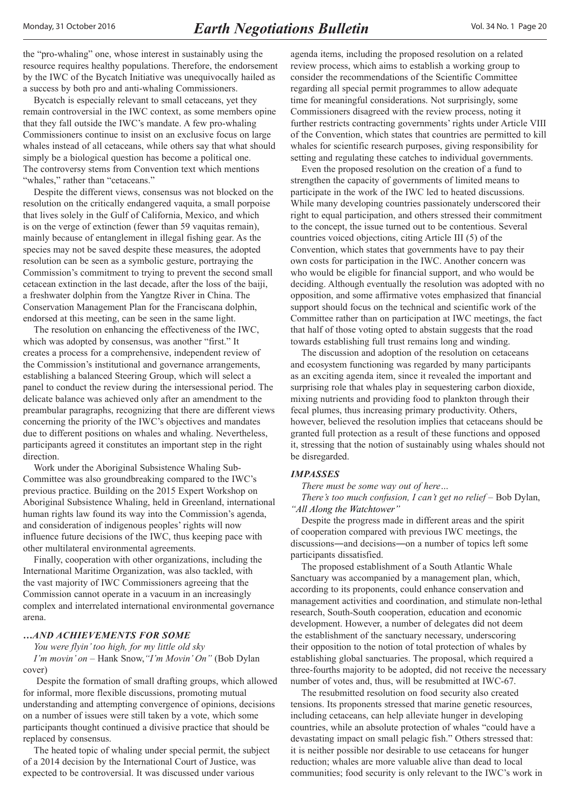the "pro-whaling" one, whose interest in sustainably using the resource requires healthy populations. Therefore, the endorsement by the IWC of the Bycatch Initiative was unequivocally hailed as a success by both pro and anti-whaling Commissioners.

Bycatch is especially relevant to small cetaceans, yet they remain controversial in the IWC context, as some members opine that they fall outside the IWC's mandate. A few pro-whaling Commissioners continue to insist on an exclusive focus on large whales instead of all cetaceans, while others say that what should simply be a biological question has become a political one. The controversy stems from Convention text which mentions "whales," rather than "cetaceans."

Despite the different views, consensus was not blocked on the resolution on the critically endangered vaquita, a small porpoise that lives solely in the Gulf of California, Mexico, and which is on the verge of extinction (fewer than 59 vaquitas remain), mainly because of entanglement in illegal fishing gear. As the species may not be saved despite these measures, the adopted resolution can be seen as a symbolic gesture, portraying the Commission's commitment to trying to prevent the second small cetacean extinction in the last decade, after the loss of the baiji, a freshwater dolphin from the Yangtze River in China. The Conservation Management Plan for the Franciscana dolphin, endorsed at this meeting, can be seen in the same light.

The resolution on enhancing the effectiveness of the IWC, which was adopted by consensus, was another "first." It creates a process for a comprehensive, independent review of the Commission's institutional and governance arrangements, establishing a balanced Steering Group, which will select a panel to conduct the review during the intersessional period. The delicate balance was achieved only after an amendment to the preambular paragraphs, recognizing that there are different views concerning the priority of the IWC's objectives and mandates due to different positions on whales and whaling. Nevertheless, participants agreed it constitutes an important step in the right direction.

Work under the Aboriginal Subsistence Whaling Sub-Committee was also groundbreaking compared to the IWC's previous practice. Building on the 2015 Expert Workshop on Aboriginal Subsistence Whaling, held in Greenland, international human rights law found its way into the Commission's agenda, and consideration of indigenous peoples' rights will now influence future decisions of the IWC, thus keeping pace with other multilateral environmental agreements.

Finally, cooperation with other organizations, including the International Maritime Organization, was also tackled, with the vast majority of IWC Commissioners agreeing that the Commission cannot operate in a vacuum in an increasingly complex and interrelated international environmental governance arena.

#### *…AND ACHIEVEMENTS FOR SOME*

*You were flyin' too high, for my little old sky I'm movin' on –* Hank Snow,*"I'm Movin' On"* (Bob Dylan cover)

Despite the formation of small drafting groups, which allowed for informal, more flexible discussions, promoting mutual understanding and attempting convergence of opinions, decisions on a number of issues were still taken by a vote, which some participants thought continued a divisive practice that should be replaced by consensus.

The heated topic of whaling under special permit, the subject of a 2014 decision by the International Court of Justice, was expected to be controversial. It was discussed under various

agenda items, including the proposed resolution on a related review process, which aims to establish a working group to consider the recommendations of the Scientific Committee regarding all special permit programmes to allow adequate time for meaningful considerations. Not surprisingly, some Commissioners disagreed with the review process, noting it further restricts contracting governments' rights under Article VIII of the Convention, which states that countries are permitted to kill whales for scientific research purposes, giving responsibility for setting and regulating these catches to individual governments.

Even the proposed resolution on the creation of a fund to strengthen the capacity of governments of limited means to participate in the work of the IWC led to heated discussions. While many developing countries passionately underscored their right to equal participation, and others stressed their commitment to the concept, the issue turned out to be contentious. Several countries voiced objections, citing Article III (5) of the Convention, which states that governments have to pay their own costs for participation in the IWC. Another concern was who would be eligible for financial support, and who would be deciding. Although eventually the resolution was adopted with no opposition, and some affirmative votes emphasized that financial support should focus on the technical and scientific work of the Committee rather than on participation at IWC meetings, the fact that half of those voting opted to abstain suggests that the road towards establishing full trust remains long and winding.

The discussion and adoption of the resolution on cetaceans and ecosystem functioning was regarded by many participants as an exciting agenda item, since it revealed the important and surprising role that whales play in sequestering carbon dioxide, mixing nutrients and providing food to plankton through their fecal plumes, thus increasing primary productivity. Others, however, believed the resolution implies that cetaceans should be granted full protection as a result of these functions and opposed it, stressing that the notion of sustainably using whales should not be disregarded.

#### *IMPASSES*

*There must be some way out of here… There's too much confusion, I can't get no relief –* Bob Dylan, *"All Along the Watchtower"*

Despite the progress made in different areas and the spirit of cooperation compared with previous IWC meetings, the discussions―and decisions―on a number of topics left some participants dissatisfied.

The proposed establishment of a South Atlantic Whale Sanctuary was accompanied by a management plan, which, according to its proponents, could enhance conservation and management activities and coordination, and stimulate non-lethal research, South-South cooperation, education and economic development. However, a number of delegates did not deem the establishment of the sanctuary necessary, underscoring their opposition to the notion of total protection of whales by establishing global sanctuaries. The proposal, which required a three-fourths majority to be adopted, did not receive the necessary number of votes and, thus, will be resubmitted at IWC-67.

The resubmitted resolution on food security also created tensions. Its proponents stressed that marine genetic resources, including cetaceans, can help alleviate hunger in developing countries, while an absolute protection of whales "could have a devastating impact on small pelagic fish." Others stressed that: it is neither possible nor desirable to use cetaceans for hunger reduction; whales are more valuable alive than dead to local communities; food security is only relevant to the IWC's work in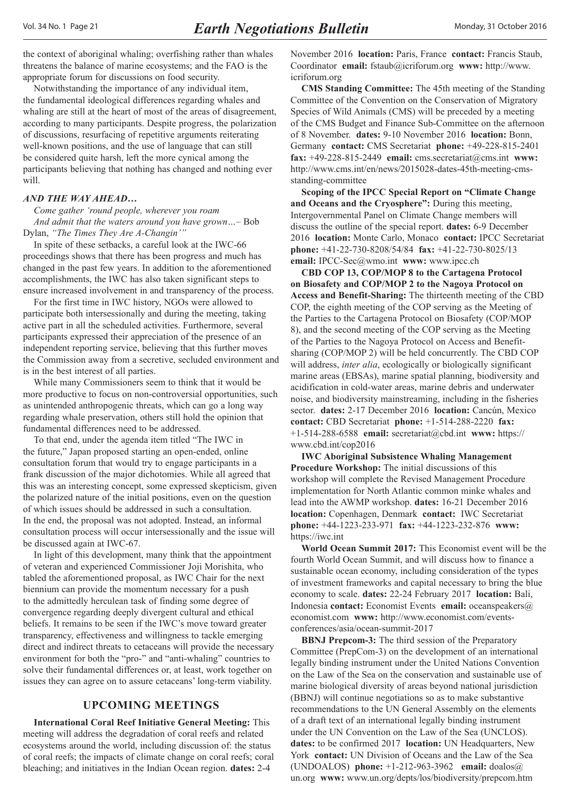<span id="page-20-0"></span>the context of aboriginal whaling; overfishing rather than whales threatens the balance of marine ecosystems; and the FAO is the appropriate forum for discussions on food security.

Notwithstanding the importance of any individual item, the fundamental ideological differences regarding whales and whaling are still at the heart of most of the areas of disagreement, according to many participants. Despite progress, the polarization of discussions, resurfacing of repetitive arguments reiterating well-known positions, and the use of language that can still be considered quite harsh, left the more cynical among the participants believing that nothing has changed and nothing ever will.

# *AND THE WAY AHEAD…*

*Come gather 'round people, wherever you roam And admit that the waters around you have grown…–* Bob Dylan, *"The Times They Are A-Changin'"*

In spite of these setbacks, a careful look at the IWC-66 proceedings shows that there has been progress and much has changed in the past few years. In addition to the aforementioned accomplishments, the IWC has also taken significant steps to ensure increased involvement in and transparency of the process.

For the first time in IWC history, NGOs were allowed to participate both intersessionally and during the meeting, taking active part in all the scheduled activities. Furthermore, several participants expressed their appreciation of the presence of an independent reporting service, believing that this further moves the Commission away from a secretive, secluded environment and is in the best interest of all parties.

While many Commissioners seem to think that it would be more productive to focus on non-controversial opportunities, such as unintended anthropogenic threats, which can go a long way regarding whale preservation, others still hold the opinion that fundamental differences need to be addressed.

To that end, under the agenda item titled "The IWC in the future," Japan proposed starting an open-ended, online consultation forum that would try to engage participants in a frank discussion of the major dichotomies. While all agreed that this was an interesting concept, some expressed skepticism, given the polarized nature of the initial positions, even on the question of which issues should be addressed in such a consultation. In the end, the proposal was not adopted. Instead, an informal consultation process will occur intersessionally and the issue will be discussed again at IWC-67.

In light of this development, many think that the appointment of veteran and experienced Commissioner Joji Morishita, who tabled the aforementioned proposal, as IWC Chair for the next biennium can provide the momentum necessary for a push to the admittedly herculean task of finding some degree of convergence regarding deeply divergent cultural and ethical beliefs. It remains to be seen if the IWC's move toward greater transparency, effectiveness and willingness to tackle emerging direct and indirect threats to cetaceans will provide the necessary environment for both the "pro-" and "anti-whaling" countries to solve their fundamental differences or, at least, work together on issues they can agree on to assure cetaceans' long-term viability.

# **UPCOMING MEETINGS**

**International Coral Reef Initiative General Meeting:** This meeting will address the degradation of coral reefs and related ecosystems around the world, including discussion of: the status of coral reefs; the impacts of climate change on coral reefs; coral bleaching; and initiatives in the Indian Ocean region. **dates:** 2-4

November 2016 **location:** Paris, France **contact:** Francis Staub, Coordinator **email:** fstaub@icriforum.org **www:** [http://www.](http://www.icriforum.org) [icriforum.org](http://www.icriforum.org) 

**CMS Standing Committee:** The 45th meeting of the Standing Committee of the Convention on the Conservation of Migratory Species of Wild Animals (CMS) will be preceded by a meeting of the CMS Budget and Finance Sub-Committee on the afternoon of 8 November. **dates:** 9-10 November 2016 **location:** Bonn, Germany **contact:** CMS Secretariat **phone:** +49-228-815-2401 **fax:** +49-228-815-2449 **email:** cms.secretariat@cms.int **www:** [http://www.cms.int/en/news/2015028-dates-45th-meeting-cms](http://www.cms.int/en/news/2015028-dates-45th-meeting-cms-standing-committee)standing-committee

**Scoping of the IPCC Special Report on "Climate Change and Oceans and the Cryosphere":** During this meeting, Intergovernmental Panel on Climate Change members will discuss the outline of the special report. **dates:** 6-9 December 2016 **location:** Monte Carlo, Monaco **contact:** IPCC Secretariat **phone:** +41-22-730-8208/54/84 **fax:** +41-22-730-8025/13 **email:** IPCC-Sec@wmo.int **www:** www.ipcc.ch

**CBD COP 13, COP/MOP 8 to the Cartagena Protocol on Biosafety and COP/MOP 2 to the Nagoya Protocol on Access and Benefit-Sharing:** The thirteenth meeting of the CBD COP, the eighth meeting of the COP serving as the Meeting of the Parties to the Cartagena Protocol on Biosafety (COP/MOP 8), and the second meeting of the COP serving as the Meeting of the Parties to the Nagoya Protocol on Access and Benefitsharing (COP/MOP 2) will be held concurrently. The CBD COP will address, *inter alia*, ecologically or biologically significant marine areas (EBSAs), marine spatial planning, biodiversity and acidification in cold-water areas, marine debris and underwater noise, and biodiversity mainstreaming, including in the fisheries sector. **dates:** 2-17 December 2016 **location:** Cancún, Mexico **contact:** CBD Secretariat **phone:** +1-514-288-2220 **fax:** +1-514-288-6588 **email:** secretariat@cbd.int **www:** https:// www.cbd.int/cop2016

**IWC Aboriginal Subsistence Whaling Management Procedure Workshop:** The initial discussions of this workshop will complete the Revised Management Procedure implementation for North Atlantic common minke whales and lead into the AWMP workshop. **dates:** 16-21 December 2016 **location:** Copenhagen, Denmark **contact:** IWC Secretariat **phone:** +44-1223-233-971 **fax:** +44-1223-232-876 **www:** https://iwc.int

**World Ocean Summit 2017:** This Economist event will be the fourth World Ocean Summit, and will discuss how to finance a sustainable ocean economy, including consideration of the types of investment frameworks and capital necessary to bring the blue economy to scale. **dates:** 22-24 February 2017 **location:** Bali, Indonesia **contact:** Economist Events **email:** oceanspeakers@ economist.com **www:** [http://www.economist.com/events](http://www.economist.com/events-conferences/asia/ocean-summit-2017)[conferences/asia/ocean-summit-2017](http://www.economist.com/events-conferences/asia/ocean-summit-2017)

**BBNJ Prepcom-3:** The third session of the Preparatory Committee (PrepCom-3) on the development of an international legally binding instrument under the United Nations Convention on the Law of the Sea on the conservation and sustainable use of marine biological diversity of areas beyond national jurisdiction (BBNJ) will continue negotiations so as to make substantive recommendations to the UN General Assembly on the elements of a draft text of an international legally binding instrument under the UN Convention on the Law of the Sea (UNCLOS). **dates:** to be confirmed 2017 **location:** UN Headquarters, New York **contact:** UN Division of Oceans and the Law of the Sea (UNDOALOS) **phone:** +1-212-963-3962 **email:** doalos@ un.org **www:** www.un.org/depts/los/biodiversity/prepcom.htm